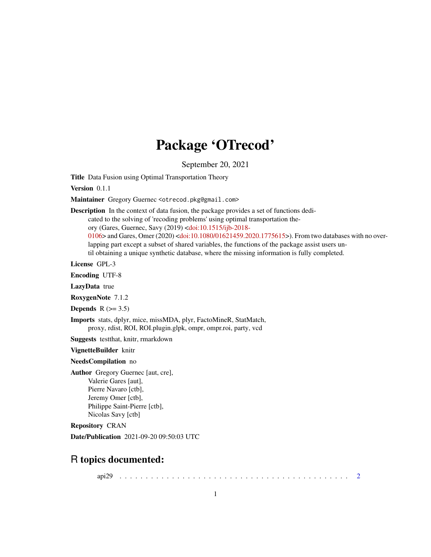# Package 'OTrecod'

September 20, 2021

<span id="page-0-0"></span>Title Data Fusion using Optimal Transportation Theory

Version 0.1.1

Maintainer Gregory Guernec <otrecod.pkg@gmail.com>

Description In the context of data fusion, the package provides a set of functions dedi-

cated to the solving of 'recoding problems' using optimal transportation the-

ory (Gares, Guernec, Savy (2019) [<doi:10.1515/ijb-2018-](https://doi.org/10.1515/ijb-2018-0106)

[0106>](https://doi.org/10.1515/ijb-2018-0106) and Gares, Omer (2020) [<doi:10.1080/01621459.2020.1775615>](https://doi.org/10.1080/01621459.2020.1775615)). From two databases with no overlapping part except a subset of shared variables, the functions of the package assist users until obtaining a unique synthetic database, where the missing information is fully completed.

License GPL-3

Encoding UTF-8

LazyData true

RoxygenNote 7.1.2

Depends  $R$  ( $>= 3.5$ )

Imports stats, dplyr, mice, missMDA, plyr, FactoMineR, StatMatch, proxy, rdist, ROI, ROI.plugin.glpk, ompr, ompr.roi, party, vcd

Suggests testthat, knitr, rmarkdown

VignetteBuilder knitr

NeedsCompilation no

Author Gregory Guernec [aut, cre], Valerie Gares [aut], Pierre Navaro [ctb], Jeremy Omer [ctb], Philippe Saint-Pierre [ctb], Nicolas Savy [ctb]

Repository CRAN

Date/Publication 2021-09-20 09:50:03 UTC

# R topics documented:

api29 . . . . . . . . . . . . . . . . . . . . . . . . . . . . . . . . . . . . . . . . . . . . [2](#page-1-0)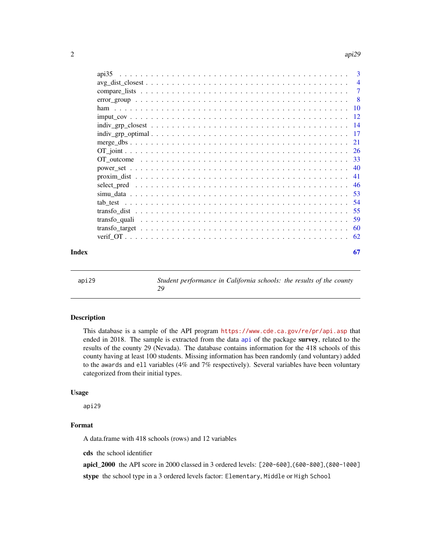<span id="page-1-0"></span>

| Index |                                                                                                          | 67 |
|-------|----------------------------------------------------------------------------------------------------------|----|
|       |                                                                                                          |    |
|       |                                                                                                          |    |
|       |                                                                                                          |    |
|       |                                                                                                          |    |
|       |                                                                                                          |    |
|       |                                                                                                          |    |
|       |                                                                                                          |    |
|       |                                                                                                          |    |
|       |                                                                                                          |    |
|       |                                                                                                          |    |
|       |                                                                                                          |    |
|       |                                                                                                          |    |
|       |                                                                                                          |    |
|       |                                                                                                          |    |
|       |                                                                                                          |    |
|       |                                                                                                          |    |
|       |                                                                                                          |    |
|       |                                                                                                          |    |
|       | $avg\_dist\_closest \ldots \ldots \ldots \ldots \ldots \ldots \ldots \ldots \ldots \ldots \ldots \ldots$ |    |
|       | api35                                                                                                    |    |

api29 *Student performance in California schools: the results of the county 29*

# Description

This database is a sample of the API program <https://www.cde.ca.gov/re/pr/api.asp> that ended in 2018. The sample is extracted from the data [api](#page-0-0) of the package survey, related to the results of the county 29 (Nevada). The database contains information for the 418 schools of this county having at least 100 students. Missing information has been randomly (and voluntary) added to the awards and ell variables (4% and 7% respectively). Several variables have been voluntary categorized from their initial types.

#### Usage

api29

# Format

A data.frame with 418 schools (rows) and 12 variables

cds the school identifier

apicl\_2000 the API score in 2000 classed in 3 ordered levels: [200-600],(600-800],(800-1000]

stype the school type in a 3 ordered levels factor: Elementary, Middle or High School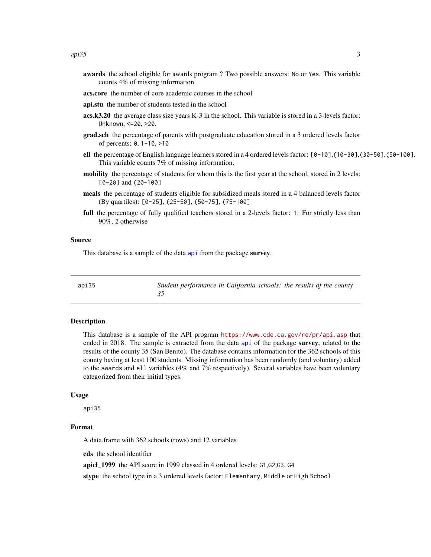- <span id="page-2-0"></span>awards the school eligible for awards program ? Two possible answers: No or Yes. This variable counts 4% of missing information.
- acs.core the number of core academic courses in the school
- api.stu the number of students tested in the school
- acs.k3.20 the average class size years K-3 in the school. This variable is stored in a 3-levels factor: Unknown, <=20, >20.
- grad.sch the percentage of parents with postgraduate education stored in a 3 ordered levels factor of percents: 0, 1-10, >10
- ell the percentage of English language learners stored in a 4 ordered levels factor:  $[0-10]$ ,  $(10-30]$ ,  $(30-50]$ ,  $(50-100]$ . This variable counts 7% of missing information.
- mobility the percentage of students for whom this is the first year at the school, stored in 2 levels: [0-20] and (20-100]
- meals the percentage of students eligible for subsidized meals stored in a 4 balanced levels factor (By quartiles): [0-25], (25-50], (50-75], (75-100]
- full the percentage of fully qualified teachers stored in a 2-levels factor: 1: For strictly less than 90%, 2 otherwise

#### Source

This database is a sample of the data [api](#page-0-0) from the package survey.

api35 *Student performance in California schools: the results of the county 35*

#### Description

This database is a sample of the API program <https://www.cde.ca.gov/re/pr/api.asp> that ended in 2018. The sample is extracted from the data [api](#page-0-0) of the package survey, related to the results of the county 35 (San Benito). The database contains information for the 362 schools of this county having at least 100 students. Missing information has been randomly (and voluntary) added to the awards and ell variables (4% and 7% respectively). Several variables have been voluntary categorized from their initial types.

#### Usage

api35

# Format

A data.frame with 362 schools (rows) and 12 variables

cds the school identifier

apicl\_1999 the API score in 1999 classed in 4 ordered levels: G1,G2,G3, G4

stype the school type in a 3 ordered levels factor: Elementary, Middle or High School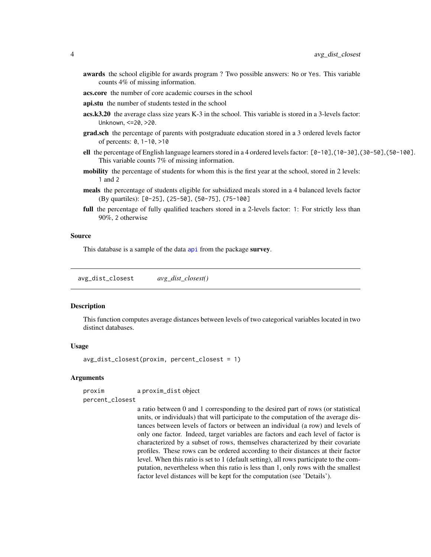- <span id="page-3-0"></span>awards the school eligible for awards program ? Two possible answers: No or Yes. This variable counts 4% of missing information.
- acs.core the number of core academic courses in the school
- api.stu the number of students tested in the school
- acs.k3.20 the average class size years K-3 in the school. This variable is stored in a 3-levels factor: Unknown, <=20, >20.
- **grad.sch** the percentage of parents with postgraduate education stored in a 3 ordered levels factor of percents: 0, 1-10, >10
- ell the percentage of English language learners stored in a 4 ordered levels factor:  $[0-10]$ ,  $(10-30]$ ,  $(30-50]$ ,  $(50-100]$ . This variable counts 7% of missing information.
- mobility the percentage of students for whom this is the first year at the school, stored in 2 levels: 1 and 2
- meals the percentage of students eligible for subsidized meals stored in a 4 balanced levels factor (By quartiles): [0-25], (25-50], (50-75], (75-100]
- full the percentage of fully qualified teachers stored in a 2-levels factor: 1: For strictly less than 90%, 2 otherwise

#### Source

This database is a sample of the data [api](#page-0-0) from the package survey.

<span id="page-3-1"></span>avg\_dist\_closest *avg\_dist\_closest()*

#### **Description**

This function computes average distances between levels of two categorical variables located in two distinct databases.

#### Usage

avg\_dist\_closest(proxim, percent\_closest = 1)

#### **Arguments**

proxim a proxim\_dist object

percent\_closest

a ratio between 0 and 1 corresponding to the desired part of rows (or statistical units, or individuals) that will participate to the computation of the average distances between levels of factors or between an individual (a row) and levels of only one factor. Indeed, target variables are factors and each level of factor is characterized by a subset of rows, themselves characterized by their covariate profiles. These rows can be ordered according to their distances at their factor level. When this ratio is set to 1 (default setting), all rows participate to the computation, nevertheless when this ratio is less than 1, only rows with the smallest factor level distances will be kept for the computation (see 'Details').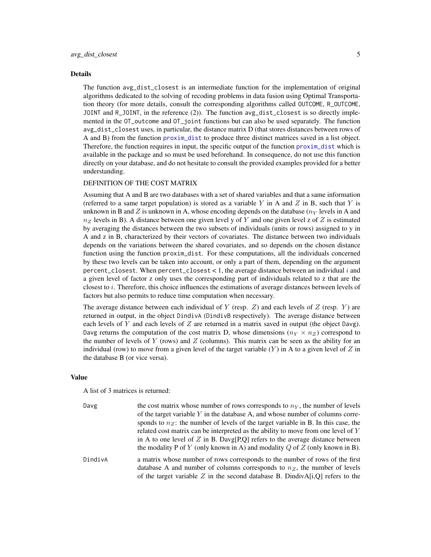#### <span id="page-4-0"></span>Details

The function avg\_dist\_closest is an intermediate function for the implementation of original algorithms dedicated to the solving of recoding problems in data fusion using Optimal Transportation theory (for more details, consult the corresponding algorithms called OUTCOME, R\_OUTCOME, JOINT and R\_JOINT, in the reference (2)). The function avg\_dist\_closest is so directly implemented in the OT\_outcome and OT\_joint functions but can also be used separately. The function avg\_dist\_closest uses, in particular, the distance matrix D (that stores distances between rows of A and B) from the function [proxim\\_dist](#page-40-1) to produce three distinct matrices saved in a list object. Therefore, the function requires in input, the specific output of the function [proxim\\_dist](#page-40-1) which is available in the package and so must be used beforehand. In consequence, do not use this function directly on your database, and do not hesitate to consult the provided examples provided for a better understanding.

# DEFINITION OF THE COST MATRIX

Assuming that A and B are two databases with a set of shared variables and that a same information (referred to a same target population) is stored as a variable Y in A and Z in B, such that Y is unknown in B and Z is unknown in A, whose encoding depends on the database ( $n<sub>Y</sub>$  levels in A and  $n_Z$  levels in B). A distance between one given level y of Y and one given level z of Z is estimated by averaging the distances between the two subsets of individuals (units or rows) assigned to y in A and z in B, characterized by their vectors of covariates. The distance between two individuals depends on the variations between the shared covariates, and so depends on the chosen distance function using the function proxim\_dist. For these computations, all the individuals concerned by these two levels can be taken into account, or only a part of them, depending on the argument percent\_closest. When percent\_closest < 1, the average distance between an individual  $i$  and a given level of factor z only uses the corresponding part of individuals related to z that are the closest to  $i$ . Therefore, this choice influences the estimations of average distances between levels of factors but also permits to reduce time computation when necessary.

The average distance between each individual of Y (resp.  $Z$ ) and each levels of  $Z$  (resp. Y) are returned in output, in the object DindivA (DindivB respectively). The average distance between each levels of  $Y$  and each levels of  $Z$  are returned in a matrix saved in output (the object Davg). Davg returns the computation of the cost matrix D, whose dimensions ( $n_Y \times n_Z$ ) correspond to the number of levels of Y (rows) and Z (columns). This matrix can be seen as the ability for an individual (row) to move from a given level of the target variable  $(Y)$  in A to a given level of Z in the database B (or vice versa).

#### Value

A list of 3 matrices is returned:

| Davg    | the cost matrix whose number of rows corresponds to $nY$ , the number of levels                                                                               |
|---------|---------------------------------------------------------------------------------------------------------------------------------------------------------------|
|         | of the target variable $Y$ in the database A, and whose number of columns corre-                                                                              |
|         | sponds to $n_{\rm Z}$ : the number of levels of the target variable in B. In this case, the                                                                   |
|         | related cost matrix can be interpreted as the ability to move from one level of Y                                                                             |
|         | in A to one level of Z in B. Davg[P,Q] refers to the average distance between<br>the modality P of Y (only known in A) and modality Q of Z (only known in B). |
|         |                                                                                                                                                               |
| DindivA | a matrix whose number of rows corresponds to the number of rows of the first<br>database A and number of columns corresponds to $nZ$ , the number of levels   |
|         | of the target variable Z in the second database B. DindivA[i,Q] refers to the                                                                                 |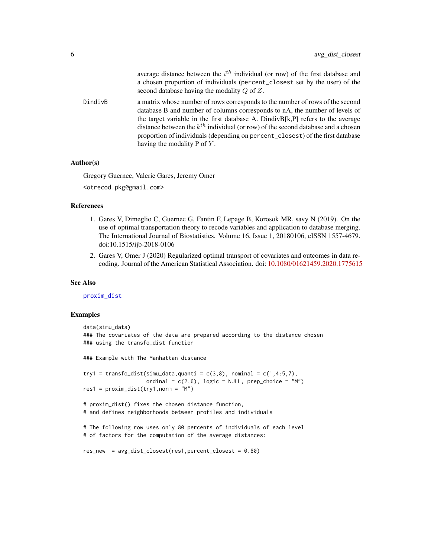<span id="page-5-0"></span>

|         | average distance between the $i^{th}$ individual (or row) of the first database and<br>a chosen proportion of individuals (percent_closest set by the user) of the<br>second database having the modality $Q$ of $Z$ .                                                                                                                                                                                                                                             |
|---------|--------------------------------------------------------------------------------------------------------------------------------------------------------------------------------------------------------------------------------------------------------------------------------------------------------------------------------------------------------------------------------------------------------------------------------------------------------------------|
| DindivB | a matrix whose number of rows corresponds to the number of rows of the second<br>database B and number of columns corresponds to nA, the number of levels of<br>the target variable in the first database A. Dindiv $B[k, P]$ refers to the average<br>distance between the $k^{th}$ individual (or row) of the second database and a chosen<br>proportion of individuals (depending on percent_closest) of the first database<br>having the modality $P$ of $Y$ . |

#### Author(s)

Gregory Guernec, Valerie Gares, Jeremy Omer <otrecod.pkg@gmail.com>

#### References

- 1. Gares V, Dimeglio C, Guernec G, Fantin F, Lepage B, Korosok MR, savy N (2019). On the use of optimal transportation theory to recode variables and application to database merging. The International Journal of Biostatistics. Volume 16, Issue 1, 20180106, eISSN 1557-4679. doi:10.1515/ijb-2018-0106
- 2. Gares V, Omer J (2020) Regularized optimal transport of covariates and outcomes in data recoding. Journal of the American Statistical Association. doi: [10.1080/01621459.2020.1775615](https://doi.org/10.1080/01621459.2020.1775615)

#### See Also

[proxim\\_dist](#page-40-1)

#### Examples

```
data(simu_data)
### The covariates of the data are prepared according to the distance chosen
### using the transfo_dist function
### Example with The Manhattan distance
try1 = transfo_dist(simu_data,quanti = c(3,8), nominal = c(1,4:5,7),
                    ordinal = c(2,6), logic = NULL, prep_choice = "M")
res1 = proxim\_dist(try1, norm = "M")# proxim_dist() fixes the chosen distance function,
# and defines neighborhoods between profiles and individuals
# The following row uses only 80 percents of individuals of each level
# of factors for the computation of the average distances:
res_new = avg_dist_closest(res1,percent_closest = 0.80)
```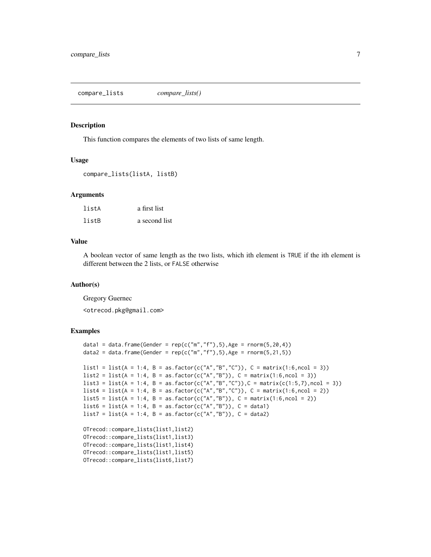<span id="page-6-1"></span><span id="page-6-0"></span>compare\_lists *compare\_lists()*

#### Description

This function compares the elements of two lists of same length.

#### Usage

compare\_lists(listA, listB)

#### Arguments

| listA | a first list  |
|-------|---------------|
| listB | a second list |

#### Value

A boolean vector of same length as the two lists, which ith element is TRUE if the ith element is different between the 2 lists, or FALSE otherwise

#### Author(s)

Gregory Guernec

<otrecod.pkg@gmail.com>

#### Examples

```
data1 = data.frame(Gender = rep(c("m", "f"), 5), Age = rnorm(5, 20, 4))
data2 = data.frame(Gender = rep(c("m", "f"), 5), Age = rnorm(5, 21, 5))list1 = list(A = 1:4, B = as.factory(c("A", "B", "C")), C = matrix(1:6, ncol = 3))list2 = list(A = 1:4, B = as.factor(c("A", "B")), C = matrix(1:6, ncol = 3))list3 = list(A = 1:4, B = as.factory(c("A", "B", "C")), C = matrix(c(1:5,7),ncol = 3))list4 = list(A = 1:4, B = as.factor(c("A", "B", "C")), C = matrix(1:6, ncol = 2))list5 = list(A = 1:4, B = as.factor(c("A", "B")), C = matrix(1:6, ncol = 2))list6 = list(A = 1:4, B = as.factor(c("A", "B")), C = data1)list7 = list(A = 1:4, B = as.factor(c("A", "B")), C = data2)OTrecod::compare_lists(list1,list2)
OTrecod::compare_lists(list1,list3)
OTrecod::compare_lists(list1,list4)
OTrecod::compare_lists(list1,list5)
OTrecod::compare_lists(list6,list7)
```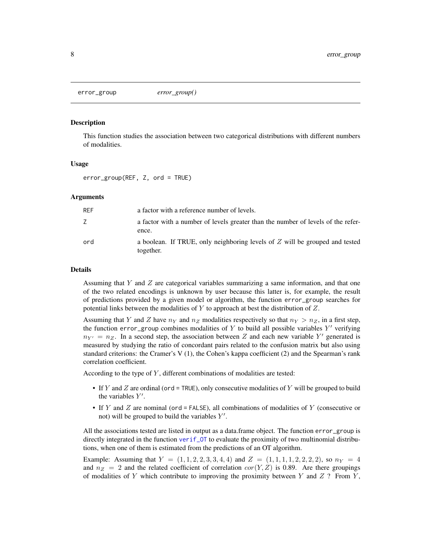<span id="page-7-1"></span><span id="page-7-0"></span>error\_group *error\_group()*

#### Description

This function studies the association between two categorical distributions with different numbers of modalities.

#### Usage

error\_group(REF, Z, ord = TRUE)

#### Arguments

| <b>REF</b> | a factor with a reference number of levels.                                                |
|------------|--------------------------------------------------------------------------------------------|
| Z          | a factor with a number of levels greater than the number of levels of the refer-<br>ence.  |
| ord        | a boolean. If TRUE, only neighboring levels of $Z$ will be grouped and tested<br>together. |

#### Details

Assuming that Y and Z are categorical variables summarizing a same information, and that one of the two related encodings is unknown by user because this latter is, for example, the result of predictions provided by a given model or algorithm, the function error\_group searches for potential links between the modalities of  $Y$  to approach at best the distribution of  $Z$ .

Assuming that Y and Z have  $n_Y$  and  $n_Z$  modalities respectively so that  $n_Y > n_Z$ , in a first step, the function error\_group combines modalities of  $Y$  to build all possible variables  $Y'$  verifying  $n_{Y'} = n_Z$ . In a second step, the association between Z and each new variable Y' generated is measured by studying the ratio of concordant pairs related to the confusion matrix but also using standard criterions: the Cramer's V (1), the Cohen's kappa coefficient (2) and the Spearman's rank correlation coefficient.

According to the type of  $Y$ , different combinations of modalities are tested:

- If Y and Z are ordinal (ord = TRUE), only consecutive modalities of Y will be grouped to build the variables  $Y'$ .
- If Y and Z are nominal (ord = FALSE), all combinations of modalities of Y (consecutive or not) will be grouped to build the variables  $Y'$ .

All the associations tested are listed in output as a data.frame object. The function error\_group is directly integrated in the function [verif\\_OT](#page-61-1) to evaluate the proximity of two multinomial distributions, when one of them is estimated from the predictions of an OT algorithm.

Example: Assuming that  $Y = (1, 1, 2, 2, 3, 3, 4, 4)$  and  $Z = (1, 1, 1, 1, 2, 2, 2, 2)$ , so  $n<sub>Y</sub> = 4$ and  $n_Z = 2$  and the related coefficient of correlation  $cor(Y, Z)$  is 0.89. Are there groupings of modalities of Y which contribute to improving the proximity between Y and  $Z$  ? From Y,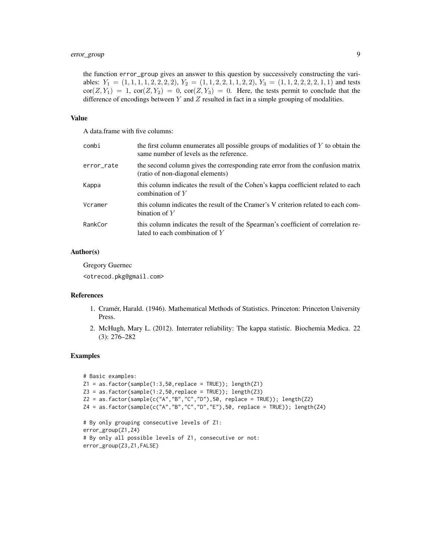the function error\_group gives an answer to this question by successively constructing the variables:  $Y_1 = (1, 1, 1, 1, 2, 2, 2, 2), Y_2 = (1, 1, 2, 2, 1, 1, 2, 2), Y_3 = (1, 1, 2, 2, 2, 2, 1, 1)$  and tests  $\text{cor}(Z, Y_1) = 1$ ,  $\text{cor}(Z, Y_2) = 0$ ,  $\text{cor}(Z, Y_3) = 0$ . Here, the tests permit to conclude that the difference of encodings between  $Y$  and  $Z$  resulted in fact in a simple grouping of modalities.

#### Value

A data.frame with five columns:

| combi      | the first column enumerates all possible groups of modalities of $Y$ to obtain the<br>same number of levels as the reference. |
|------------|-------------------------------------------------------------------------------------------------------------------------------|
| error_rate | the second column gives the corresponding rate error from the confusion matrix<br>(ratio of non-diagonal elements)            |
| Kappa      | this column indicates the result of the Cohen's kappa coefficient related to each<br>combination of $Y$                       |
| Vcramer    | this column indicates the result of the Cramer's V criterion related to each com-<br>bination of $Y$                          |
| RankCor    | this column indicates the result of the Spearman's coefficient of correlation re-<br>lated to each combination of $Y$         |

#### Author(s)

Gregory Guernec <otrecod.pkg@gmail.com>

#### References

- 1. Cramér, Harald. (1946). Mathematical Methods of Statistics. Princeton: Princeton University Press.
- 2. McHugh, Mary L. (2012). Interrater reliability: The kappa statistic. Biochemia Medica. 22 (3): 276–282

#### Examples

```
# Basic examples:
Z1 = as.factor(sample(1:3,50,replace = TRUE)); length(Z1)Z3 = as.factor(sample(1:2,50,replace = TRUE)); length(Z3)Z2 = as.factor(sample(c("A", "B", "C", "D"), 50, replace = TRUE)); length(Z2)Z4 = as.factor(sample(c("A", "B", "C", "D", "E"), 50, replace = TRUE)); length(Z4)# By only grouping consecutive levels of Z1:
error_group(Z1,Z4)
# By only all possible levels of Z1, consecutive or not:
error_group(Z3,Z1,FALSE)
```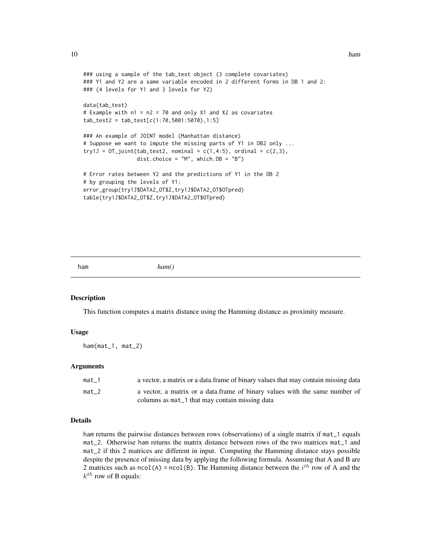#### <span id="page-9-0"></span>10 ham

```
### using a sample of the tab_test object (3 complete covariates)
### Y1 and Y2 are a same variable encoded in 2 different forms in DB 1 and 2:
### (4 levels for Y1 and 3 levels for Y2)
data(tab_test)
# Example with n1 = n2 = 70 and only X1 and X2 as covariates
tab_test2 = tab_test[c(1:70,5001:5070),1:5]
### An example of JOINT model (Manhattan distance)
# Suppose we want to impute the missing parts of Y1 in DB2 only ...
try1J = 0T_joint(tab_test2, nominal = c(1,4:5), ordinal = c(2,3),dist.choice = "M", which.DB = "B")
# Error rates between Y2 and the predictions of Y1 in the DB 2
# by grouping the levels of Y1:
error_group(try1J$DATA2_OT$Z,try1J$DATA2_OT$OTpred)
table(try1J$DATA2_OT$Z,try1J$DATA2_OT$OTpred)
```
ham *ham()*

#### Description

This function computes a matrix distance using the Hamming distance as proximity measure.

#### Usage

ham(mat\_1, mat\_2)

#### Arguments

| mat 1 | a vector, a matrix or a data. frame of binary values that may contain missing data |
|-------|------------------------------------------------------------------------------------|
| mat 2 | a vector, a matrix or a data frame of binary values with the same number of        |
|       | columns as mat_1 that may contain missing data                                     |

# Details

ham returns the pairwise distances between rows (observations) of a single matrix if mat\_1 equals mat\_2. Otherwise ham returns the matrix distance between rows of the two matrices mat\_1 and mat\_2 if this 2 matrices are different in input. Computing the Hamming distance stays possible despite the presence of missing data by applying the following formula. Assuming that A and B are 2 matrices such as ncol(A) = ncol(B). The Hamming distance between the  $i^{th}$  row of A and the  $k^{th}$  row of B equals: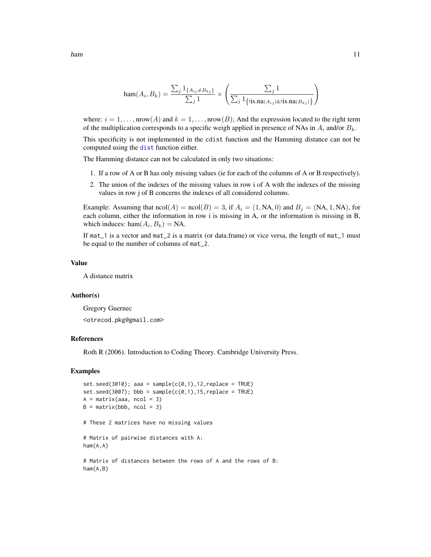$$
\operatorname{ham}(A_i, B_k) = \frac{\sum_j 1_{\{A_{ij} \neq B_{kj}\}}}{\sum_j 1} \times \left( \frac{\sum_j 1}{\sum_j 1_{\{\text{lis}, \text{na}(A_{ij}) \& \text{lis}, \text{na}(B_{kj})\}}}\right)
$$

where:  $i = 1, ..., nrow(A)$  and  $k = 1, ..., nrow(B)$ ; And the expression located to the right term of the multiplication corresponds to a specific weigh applied in presence of NAs in  $A_i$  and/or  $B_k$ .

This specificity is not implemented in the cdist function and the Hamming distance can not be computed using the [dist](#page-0-0) function either.

The Hamming distance can not be calculated in only two situations:

- 1. If a row of A or B has only missing values (ie for each of the columns of A or B respectively).
- 2. The union of the indexes of the missing values in row i of A with the indexes of the missing values in row j of B concerns the indexes of all considered columns.

Example: Assuming that  $\text{ncol}(A) = \text{ncol}(B) = 3$ , if  $A_i = (1, NA, 0)$  and  $B_i = (NA, 1, NA)$ , for each column, either the information in row i is missing in A, or the information is missing in B, which induces:  $ham(A_i, B_k) = NA$ .

If mat\_1 is a vector and mat\_2 is a matrix (or data.frame) or vice versa, the length of mat\_1 must be equal to the number of columns of mat\_2.

#### Value

A distance matrix

#### Author(s)

Gregory Guernec <otrecod.pkg@gmail.com>

#### References

Roth R (2006). Introduction to Coding Theory. Cambridge University Press.

#### Examples

```
set.seed(3010); aaa = sample(c(0,1),12,replace = TRUE)
set.seed(3007); bbb = sample(c(0,1), 15, replace = TRUE)A = matrix(aaa, ncol = 3)B = matrix(bbb, ncol = 3)# These 2 matrices have no missing values
# Matrix of pairwise distances with A:
ham(A,A)
# Matrix of distances between the rows of A and the rows of B:
ham(A,B)
```
<span id="page-10-0"></span>ham the contract of the contract of the contract of the contract of the contract of the contract of the contract of the contract of the contract of the contract of the contract of the contract of the contract of the contra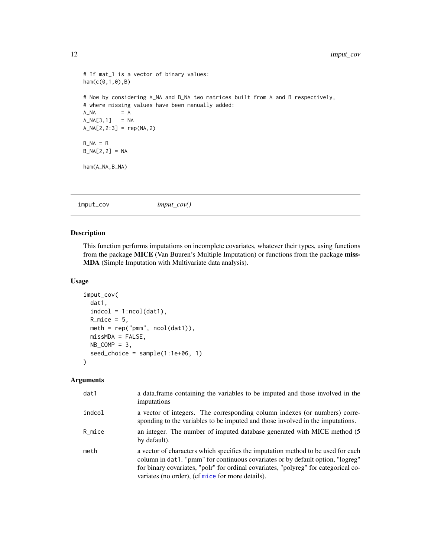```
# If mat_1 is a vector of binary values:
ham(c(0,1,0),B)
# Now by considering A_NA and B_NA two matrices built from A and B respectively,
# where missing values have been manually added:
A_N = AA_NA[3,1] = NA
A_NA[2,2:3] = rep(NA,2)
B_N = BB_NA[2,2] = NA
ham(A_NA,B_NA)
```
<span id="page-11-1"></span>

|--|

# Description

This function performs imputations on incomplete covariates, whatever their types, using functions from the package MICE (Van Buuren's Multiple Imputation) or functions from the package miss-MDA (Simple Imputation with Multivariate data analysis).

#### Usage

```
imput_cov(
 dat1,
  indcol = 1:ncol(data1),R_mice = 5,
 meth = rep("pmm", ncol(data1)),missMDA = FALSE,
 NB\_COMP = 3,
 seed_choice = sample(1:1e+06, 1)
)
```
# Arguments

| dat1   | a data frame containing the variables to be imputed and those involved in the<br>imputations                                                                                                                                                                                                                  |
|--------|---------------------------------------------------------------------------------------------------------------------------------------------------------------------------------------------------------------------------------------------------------------------------------------------------------------|
| indcol | a vector of integers. The corresponding column indexes (or numbers) corre-<br>sponding to the variables to be imputed and those involved in the imputations.                                                                                                                                                  |
| R_mice | an integer. The number of imputed database generated with MICE method (5)<br>by default).                                                                                                                                                                                                                     |
| meth   | a vector of characters which specifies the imputation method to be used for each<br>column in dat1. "pmm" for continuous covariates or by default option, "logreg"<br>for binary covariates, "polr" for ordinal covariates, "polyreg" for categorical co-<br>variates (no order), (cf mice for more details). |

<span id="page-11-0"></span>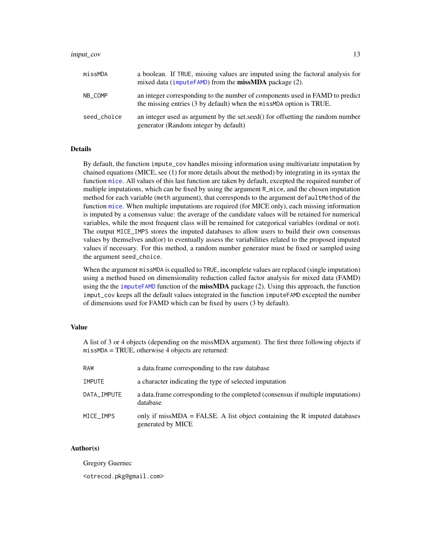#### <span id="page-12-0"></span>imput\_cov 13

| missMDA     | a boolean. If TRUE, missing values are imputed using the factoral analysis for<br>mixed data (imputeFAMD) from the missMDA package (2).              |
|-------------|------------------------------------------------------------------------------------------------------------------------------------------------------|
| NB COMP     | an integer corresponding to the number of components used in FAMD to predict<br>the missing entries (3 by default) when the miss MDA option is TRUE. |
| seed choice | an integer used as argument by the set, seed () for offsetting the random number<br>generator (Random integer by default)                            |

#### Details

By default, the function impute\_cov handles missing information using multivariate imputation by chained equations (MICE, see (1) for more details about the method) by integrating in its syntax the function [mice](#page-0-0). All values of this last function are taken by default, excepted the required number of multiple imputations, which can be fixed by using the argument R\_mice, and the chosen imputation method for each variable (meth argument), that corresponds to the argument defaultMethod of the function [mice](#page-0-0). When multiple imputations are required (for MICE only), each missing information is imputed by a consensus value: the average of the candidate values will be retained for numerical variables, while the most frequent class will be remained for categorical variables (ordinal or not). The output MICE\_IMPS stores the imputed databases to allow users to build their own consensus values by themselves and(or) to eventually assess the variabilities related to the proposed imputed values if necessary. For this method, a random number generator must be fixed or sampled using the argument seed\_choice.

When the argument missMDA is equalled to TRUE, incomplete values are replaced (single imputation) using a method based on dimensionality reduction called factor analysis for mixed data (FAMD) using the the [imputeFAMD](#page-0-0) function of the missMDA package (2). Using this approach, the function imput\_cov keeps all the default values integrated in the function imputeFAMD excepted the number of dimensions used for FAMD which can be fixed by users (3 by default).

#### Value

A list of 3 or 4 objects (depending on the missMDA argument). The first three following objects if missMDA = TRUE, otherwise 4 objects are returned:

| RAW           | a data frame corresponding to the raw database                                                 |
|---------------|------------------------------------------------------------------------------------------------|
| <b>IMPUTE</b> | a character indicating the type of selected imputation                                         |
| DATA_IMPUTE   | a data. frame corresponding to the completed (consensus if multiple imputations)<br>database   |
| MICE IMPS     | only if missMDA = FALSE. A list object containing the R imputed databases<br>generated by MICE |

# Author(s)

Gregory Guernec

<otrecod.pkg@gmail.com>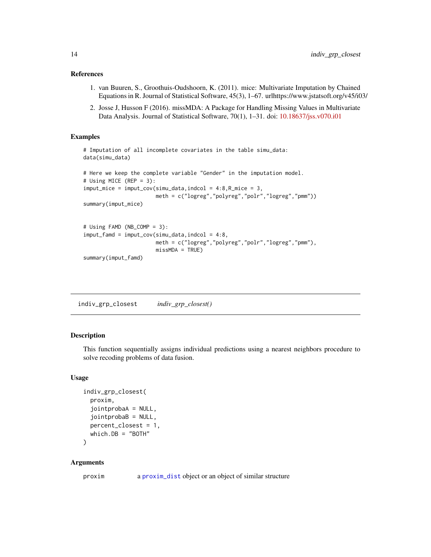#### <span id="page-13-0"></span>References

- 1. van Buuren, S., Groothuis-Oudshoorn, K. (2011). mice: Multivariate Imputation by Chained Equations in R. Journal of Statistical Software, 45(3), 1–67. urlhttps://www.jstatsoft.org/v45/i03/
- 2. Josse J, Husson F (2016). missMDA: A Package for Handling Missing Values in Multivariate Data Analysis. Journal of Statistical Software, 70(1), 1–31. doi: [10.18637/jss.v070.i01](https://doi.org/10.18637/jss.v070.i01)

#### Examples

```
# Imputation of all incomplete covariates in the table simu_data:
data(simu_data)
# Here we keep the complete variable "Gender" in the imputation model.
# Using MICE (REP = 3):
imput\_mice = imput\_cov(simu\_data, indcol = 4:8, R_mice = 3,meth = c("logreg","polyreg","polr","logreg","pmm"))
summary(imput_mice)
# Using FAMD (NB_COMP = 3):
imput_famd = imput_cov(simu_data,indcol = 4:8,
                       meth = c("logreg","polyreg","polr","logreg","pmm"),
                       missMDA = TRUE)
summary(imput_famd)
```
<span id="page-13-1"></span>indiv\_grp\_closest *indiv\_grp\_closest()*

#### Description

This function sequentially assigns individual predictions using a nearest neighbors procedure to solve recoding problems of data fusion.

#### Usage

```
indiv_grp_closest(
 proxim,
  jointprobaA = NULL,
  jointprobaB = NULL,
 percent_closest = 1,
 which.DB = "BOTH"
)
```
#### Arguments

proxim a [proxim\\_dist](#page-40-1) object or an object of similar structure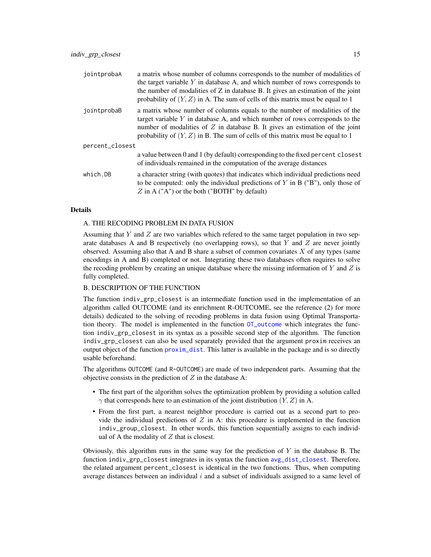<span id="page-14-0"></span>

| jointprobaA     | a matrix whose number of columns corresponds to the number of modalities of<br>the target variable $Y$ in database A, and which number of rows corresponds to<br>the number of modalities of $Z$ in database $B$ . It gives an estimation of the joint<br>probability of $(Y, Z)$ in A. The sum of cells of this matrix must be equal to 1 |  |
|-----------------|--------------------------------------------------------------------------------------------------------------------------------------------------------------------------------------------------------------------------------------------------------------------------------------------------------------------------------------------|--|
| jointprobaB     | a matrix whose number of columns equals to the number of modalities of the<br>target variable $Y$ in database A, and which number of rows corresponds to the<br>number of modalities of $Z$ in database B. It gives an estimation of the joint<br>probability of $(Y, Z)$ in B. The sum of cells of this matrix must be equal to 1         |  |
| percent_closest |                                                                                                                                                                                                                                                                                                                                            |  |
|                 | a value between 0 and 1 (by default) corresponding to the fixed percent closest<br>of individuals remained in the computation of the average distances                                                                                                                                                                                     |  |
| which.DB        | a character string (with quotes) that indicates which individual predictions need<br>to be computed: only the individual predictions of $Y$ in $B$ (" $B$ "), only those of<br>$Z$ in A ("A") or the both ("BOTH" by default)                                                                                                              |  |

#### Details

#### A. THE RECODING PROBLEM IN DATA FUSION

Assuming that  $Y$  and  $Z$  are two variables which refered to the same target population in two separate databases A and B respectively (no overlapping rows), so that  $Y$  and  $Z$  are never jointly observed. Assuming also that A and B share a subset of common covariates  $X$  of any types (same encodings in A and B) completed or not. Integrating these two databases often requires to solve the recoding problem by creating an unique database where the missing information of  $Y$  and  $Z$  is fully completed.

#### B. DESCRIPTION OF THE FUNCTION

The function indiv\_grp\_closest is an intermediate function used in the implementation of an algorithm called OUTCOME (and its enrichment R-OUTCOME, see the reference (2) for more details) dedicated to the solving of recoding problems in data fusion using Optimal Transportation theory. The model is implemented in the function [OT\\_outcome](#page-32-1) which integrates the function indiv\_grp\_closest in its syntax as a possible second step of the algorithm. The function indiv\_grp\_closest can also be used separately provided that the argument proxim receives an output object of the function [proxim\\_dist](#page-40-1). This latter is available in the package and is so directly usable beforehand.

The algorithms OUTCOME (and R-OUTCOME) are made of two independent parts. Assuming that the objective consists in the prediction of  $Z$  in the database A:

- The first part of the algorithm solves the optimization problem by providing a solution called  $\gamma$  that corresponds here to an estimation of the joint distribution  $(Y, Z)$  in A.
- From the first part, a nearest neighbor procedure is carried out as a second part to provide the individual predictions of  $Z$  in A: this procedure is implemented in the function indiv\_group\_closest. In other words, this function sequentially assigns to each individual of A the modality of  $Z$  that is closest.

Obviously, this algorithm runs in the same way for the prediction of  $Y$  in the database B. The function indiv\_grp\_closest integrates in its syntax the function [avg\\_dist\\_closest](#page-3-1). Therefore, the related argument percent\_closest is identical in the two functions. Thus, when computing average distances between an individual  $i$  and a subset of individuals assigned to a same level of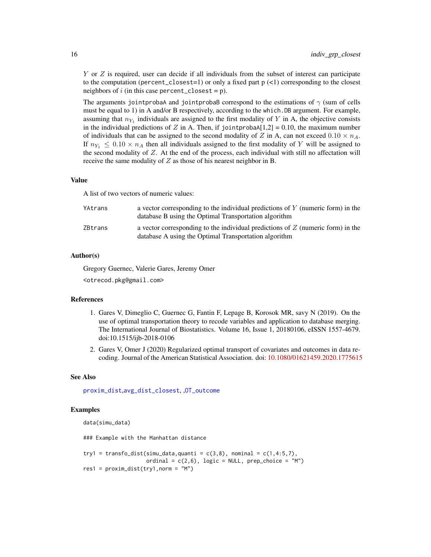<span id="page-15-0"></span>Y or Z is required, user can decide if all individuals from the subset of interest can participate to the computation (percent\_closest=1) or only a fixed part  $p$  (<1) corresponding to the closest neighbors of i (in this case percent\_closest =  $p$ ).

The arguments jointprobaA and jointprobaB correspond to the estimations of  $\gamma$  (sum of cells must be equal to 1) in A and/or B respectively, according to the which. DB argument. For example, assuming that  $n_{Y_1}$  individuals are assigned to the first modality of Y in A, the objective consists in the individual predictions of Z in A. Then, if jointproba $A[1,2] = 0.10$ , the maximum number of individuals that can be assigned to the second modality of Z in A, can not exceed  $0.10 \times n_A$ . If  $n_{Y_1} \leq 0.10 \times n_A$  then all individuals assigned to the first modality of Y will be assigned to the second modality of  $Z$ . At the end of the process, each individual with still no affectation will receive the same modality of  $Z$  as those of his nearest neighbor in B.

#### Value

A list of two vectors of numeric values:

| YAtrans | a vector corresponding to the individual predictions of $Y$ (numeric form) in the<br>database B using the Optimal Transportation algorithm |
|---------|--------------------------------------------------------------------------------------------------------------------------------------------|
| ZBtrans | a vector corresponding to the individual predictions of $Z$ (numeric form) in the<br>database A using the Optimal Transportation algorithm |

# Author(s)

Gregory Guernec, Valerie Gares, Jeremy Omer <otrecod.pkg@gmail.com>

#### References

- 1. Gares V, Dimeglio C, Guernec G, Fantin F, Lepage B, Korosok MR, savy N (2019). On the use of optimal transportation theory to recode variables and application to database merging. The International Journal of Biostatistics. Volume 16, Issue 1, 20180106, eISSN 1557-4679. doi:10.1515/ijb-2018-0106
- 2. Gares V, Omer J (2020) Regularized optimal transport of covariates and outcomes in data recoding. Journal of the American Statistical Association. doi: [10.1080/01621459.2020.1775615](https://doi.org/10.1080/01621459.2020.1775615)

#### See Also

[proxim\\_dist](#page-40-1),[avg\\_dist\\_closest](#page-3-1), ,[OT\\_outcome](#page-32-1)

# Examples

```
data(simu_data)
```
### Example with the Manhattan distance

```
try1 = transfo_dist(simu_data,quanti = c(3,8), nominal = c(1,4:5,7),
                    ordinal = c(2,6), logic = NULL, prep_choice = "M")
res1 = proxim\_dist(try1, norm = "M")
```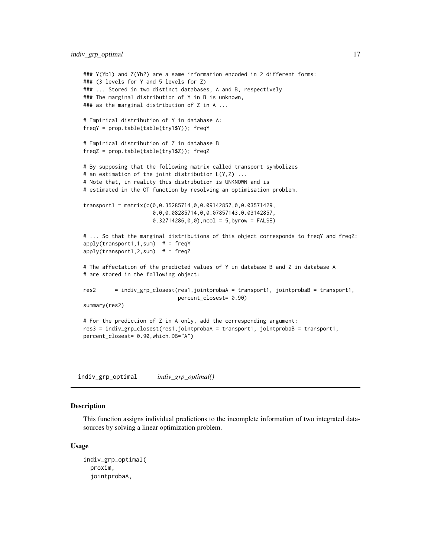```
### Y(Yb1) and Z(Yb2) are a same information encoded in 2 different forms:
### (3 levels for Y and 5 levels for Z)
### ... Stored in two distinct databases, A and B, respectively
### The marginal distribution of Y in B is unknown,
### as the marginal distribution of Z in A ...
# Empirical distribution of Y in database A:
freqY = prop.table(table(try1$Y)); freqY
# Empirical distribution of Z in database B
freqZ = prop.table(table(try1$Z)); freqZ
# By supposing that the following matrix called transport symbolizes
# an estimation of the joint distribution L(Y,Z) ...
# Note that, in reality this distribution is UNKNOWN and is
# estimated in the OT function by resolving an optimisation problem.
transport1 = matrix(c(0,0.35285714,0,0.09142857,0,0.03571429,
                      0,0,0.08285714,0,0.07857143,0.03142857,
                      0.32714286, 0, 0, ncol = 5, byrow = FALSE)
# ... So that the marginal distributions of this object corresponds to freqY and freqZ:
apply(transport1,1,sum) # = freqY
apply(transport1,2,sum) # = freqZ
# The affectation of the predicted values of Y in database B and Z in database A
# are stored in the following object:
res2 = indiv_grp_closest(res1,jointprobaA = transport1, jointprobaB = transport1,
                             percent_closest= 0.90)
summary(res2)
# For the prediction of Z in A only, add the corresponding argument:
res3 = indiv_grp_closest(res1,jointprobaA = transport1, jointprobaB = transport1,
percent_closest= 0.90,which.DB="A")
```
<span id="page-16-1"></span>indiv\_grp\_optimal *indiv\_grp\_optimal()*

# **Description**

This function assigns individual predictions to the incomplete information of two integrated datasources by solving a linear optimization problem.

#### Usage

```
indiv_grp_optimal(
 proxim,
  jointprobaA,
```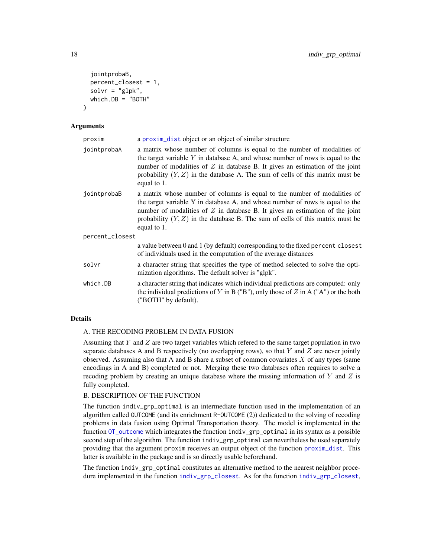```
jointprobaB,
 percent_closest = 1,
  solvr = "glpk",which.DB = "BOTH")
```
#### Arguments

| proxim          | a proxim_dist object or an object of similar structure                                                                                                                                                                                                                                                                                             |  |
|-----------------|----------------------------------------------------------------------------------------------------------------------------------------------------------------------------------------------------------------------------------------------------------------------------------------------------------------------------------------------------|--|
| jointprobaA     | a matrix whose number of columns is equal to the number of modalities of<br>the target variable $Y$ in database $A$ , and whose number of rows is equal to the<br>number of modalities of $Z$ in database B. It gives an estimation of the joint<br>probability $(Y, Z)$ in the database A. The sum of cells of this matrix must be<br>equal to 1. |  |
| jointprobaB     | a matrix whose number of columns is equal to the number of modalities of<br>the target variable Y in database A, and whose number of rows is equal to the<br>number of modalities of $Z$ in database B. It gives an estimation of the joint<br>probability $(Y, Z)$ in the database B. The sum of cells of this matrix must be<br>equal to 1.      |  |
| percent_closest |                                                                                                                                                                                                                                                                                                                                                    |  |
|                 | a value between 0 and 1 (by default) corresponding to the fixed percent closest<br>of individuals used in the computation of the average distances                                                                                                                                                                                                 |  |
| solvr           | a character string that specifies the type of method selected to solve the opti-<br>mization algorithms. The default solver is "glpk".                                                                                                                                                                                                             |  |
| which.DB        | a character string that indicates which individual predictions are computed: only<br>the individual predictions of Y in B ("B"), only those of Z in A ("A") or the both<br>("BOTH" by default).                                                                                                                                                    |  |

# Details

#### A. THE RECODING PROBLEM IN DATA FUSION

Assuming that  $Y$  and  $Z$  are two target variables which refered to the same target population in two separate databases A and B respectively (no overlapping rows), so that  $Y$  and  $Z$  are never jointly observed. Assuming also that A and B share a subset of common covariates  $X$  of any types (same encodings in A and B) completed or not. Merging these two databases often requires to solve a recoding problem by creating an unique database where the missing information of  $Y$  and  $Z$  is fully completed.

# B. DESCRIPTION OF THE FUNCTION

The function indiv\_grp\_optimal is an intermediate function used in the implementation of an algorithm called OUTCOME (and its enrichment R-OUTCOME (2)) dedicated to the solving of recoding problems in data fusion using Optimal Transportation theory. The model is implemented in the function [OT\\_outcome](#page-32-1) which integrates the function indiv\_grp\_optimal in its syntax as a possible second step of the algorithm. The function indiv\_grp\_optimal can nevertheless be used separately providing that the argument proxim receives an output object of the function [proxim\\_dist](#page-40-1). This latter is available in the package and is so directly usable beforehand.

The function indiv\_grp\_optimal constitutes an alternative method to the nearest neighbor procedure implemented in the function [indiv\\_grp\\_closest](#page-13-1). As for the function [indiv\\_grp\\_closest](#page-13-1),

<span id="page-17-0"></span>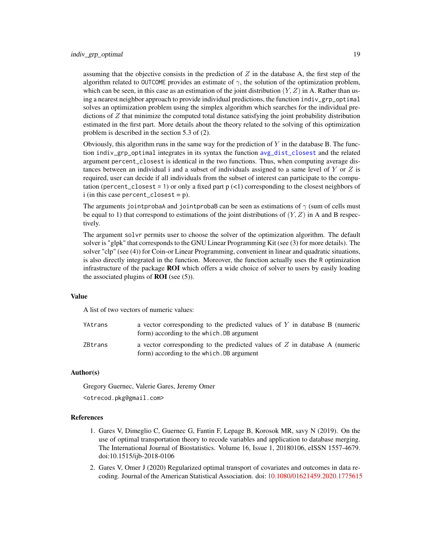<span id="page-18-0"></span>assuming that the objective consists in the prediction of  $Z$  in the database A, the first step of the algorithm related to OUTCOME provides an estimate of  $\gamma$ , the solution of the optimization problem, which can be seen, in this case as an estimation of the joint distribution  $(Y, Z)$  in A. Rather than using a nearest neighbor approach to provide individual predictions, the function indiv\_grp\_optimal solves an optimization problem using the simplex algorithm which searches for the individual predictions of Z that minimize the computed total distance satisfying the joint probability distribution estimated in the first part. More details about the theory related to the solving of this optimization problem is described in the section 5.3 of (2).

Obviously, this algorithm runs in the same way for the prediction of  $Y$  in the database B. The function indiv\_grp\_optimal integrates in its syntax the function [avg\\_dist\\_closest](#page-3-1) and the related argument percent\_closest is identical in the two functions. Thus, when computing average distances between an individual i and a subset of individuals assigned to a same level of  $Y$  or  $Z$  is required, user can decide if all individuals from the subset of interest can participate to the computation (percent\_closest = 1) or only a fixed part  $p$  (<1) corresponding to the closest neighbors of i (in this case percent\_closest =  $p$ ).

The arguments jointprobaA and jointprobaB can be seen as estimations of  $\gamma$  (sum of cells must be equal to 1) that correspond to estimations of the joint distributions of  $(Y, Z)$  in A and B respectively.

The argument solvr permits user to choose the solver of the optimization algorithm. The default solver is "glpk" that corresponds to the GNU Linear Programming Kit (see (3) for more details). The solver "clp" (see (4)) for Coin-or Linear Programming, convenient in linear and quadratic situations, is also directly integrated in the function. Moreover, the function actually uses the R optimization infrastructure of the package ROI which offers a wide choice of solver to users by easily loading the associated plugins of **ROI** (see  $(5)$ ).

#### Value

A list of two vectors of numeric values:

| YAtrans | a vector corresponding to the predicted values of $Y$ in database $B$ (numeric<br>form) according to the which. DB argument |
|---------|-----------------------------------------------------------------------------------------------------------------------------|
| ZBtrans | a vector corresponding to the predicted values of $Z$ in database A (numeric<br>form) according to the which. DB argument   |

#### Author(s)

Gregory Guernec, Valerie Gares, Jeremy Omer

<otrecod.pkg@gmail.com>

# References

- 1. Gares V, Dimeglio C, Guernec G, Fantin F, Lepage B, Korosok MR, savy N (2019). On the use of optimal transportation theory to recode variables and application to database merging. The International Journal of Biostatistics. Volume 16, Issue 1, 20180106, eISSN 1557-4679. doi:10.1515/ijb-2018-0106
- 2. Gares V, Omer J (2020) Regularized optimal transport of covariates and outcomes in data recoding. Journal of the American Statistical Association. doi: [10.1080/01621459.2020.1775615](https://doi.org/10.1080/01621459.2020.1775615)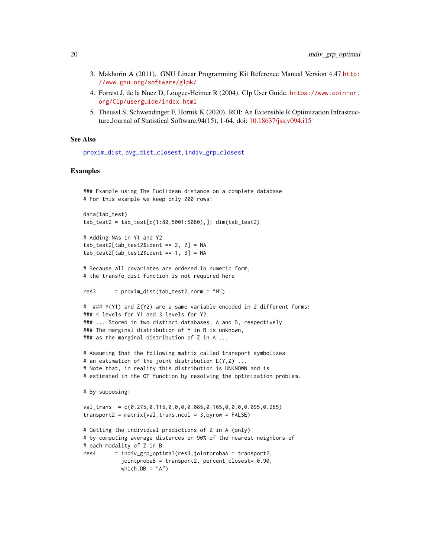- <span id="page-19-0"></span>3. Makhorin A (2011). GNU Linear Programming Kit Reference Manual Version 4.47.[http:](http://www.gnu.org/software/glpk/) [//www.gnu.org/software/glpk/](http://www.gnu.org/software/glpk/)
- 4. Forrest J, de la Nuez D, Lougee-Heimer R (2004). Clp User Guide. [https://www.coin-or.](https://www.coin-or.org/Clp/userguide/index.html) [org/Clp/userguide/index.html](https://www.coin-or.org/Clp/userguide/index.html)
- 5. Theussl S, Schwendinger F, Hornik K (2020). ROI: An Extensible R Optimization Infrastructure.Journal of Statistical Software,94(15), 1-64. doi: [10.18637/jss.v094.i15](https://doi.org/10.18637/jss.v094.i15)

#### See Also

[proxim\\_dist](#page-40-1), [avg\\_dist\\_closest](#page-3-1), [indiv\\_grp\\_closest](#page-13-1)

#### Examples

```
### Example using The Euclidean distance on a complete database
# For this example we keep only 200 rows:
```

```
data(tab_test)
tab_test2 = tab_test[c(1:80,5001:5080),]; dim(tab_test2)
```

```
# Adding NAs in Y1 and Y2
tab_test2[tab_test2$ideal] = 2, 2] = NAtab_test2[tab_test2$jident == 1, 3] = NA
```

```
# Because all covariates are ordered in numeric form,
# the transfo_dist function is not required here
```

```
res3 = proxim\_dist(tab\_test2,norm = "M")
```

```
#' ### Y(Y1) and Z(Y2) are a same variable encoded in 2 different forms:
### 4 levels for Y1 and 3 levels for Y2
### ... Stored in two distinct databases, A and B, respectively
### The marginal distribution of Y in B is unknown,
### as the marginal distribution of Z in A ...
```

```
# Assuming that the following matrix called transport symbolizes
# an estimation of the joint distribution L(Y,Z) ...
# Note that, in reality this distribution is UNKNOWN and is
# estimated in the OT function by resolving the optimization problem.
```

```
# By supposing:
```

```
val_trans = c(0.275,0.115,0,0,0,0.085,0.165,0,0,0,0.095,0.265)
transport2 = matrix(value1 - trans, ncol = 3, by row = FALSE)
```

```
# Getting the individual predictions of Z in A (only)
# by computing average distances on 90% of the nearest neighbors of
# each modality of Z in B
res4 = indiv_grp_optimal(res3,jointprobaA = transport2,
           jointprobaB = transport2, percent_closest= 0.90,
           which.DB = "A")
```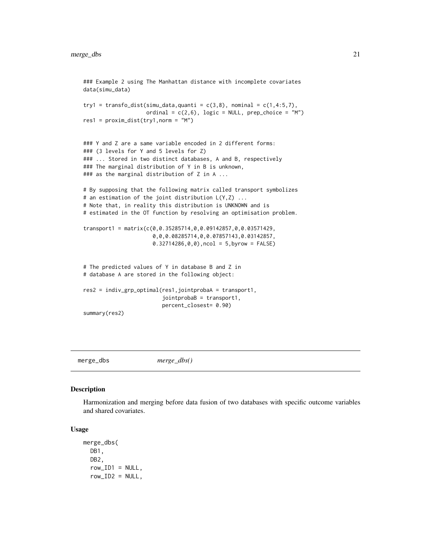```
### Example 2 using The Manhattan distance with incomplete covariates
data(simu_data)
try1 = transfo_dist(simu_data,quanti = c(3,8), nominal = c(1,4:5,7),
                    ordinal = c(2,6), logic = NULL, prep_choice = "M")
res1 = proxim\_dist(try1, norm = "M")### Y and Z are a same variable encoded in 2 different forms:
### (3 levels for Y and 5 levels for Z)
### ... Stored in two distinct databases, A and B, respectively
### The marginal distribution of Y in B is unknown,
### as the marginal distribution of Z in A ...
# By supposing that the following matrix called transport symbolizes
# an estimation of the joint distribution L(Y, Z) ...
# Note that, in reality this distribution is UNKNOWN and is
# estimated in the OT function by resolving an optimisation problem.
transport1 = matrix(c(0,0.35285714,0,0.09142857,0,0.03571429,
                      0,0,0.08285714,0,0.07857143,0.03142857,
                      0.32714286, 0, 0), ncol = 5, byrow = FALSE)
# The predicted values of Y in database B and Z in
# database A are stored in the following object:
res2 = indiv_grp_optimal(res1,jointprobaA = transport1,
                         jointprobaB = transport1,
                         percent_closest= 0.90)
summary(res2)
```
<span id="page-20-1"></span>merge\_dbs *merge\_dbs()*

#### Description

Harmonization and merging before data fusion of two databases with specific outcome variables and shared covariates.

# Usage

```
merge_dbs(
  DB<sub>1</sub>,
  DB2,
  row\_ID1 = NULL,row\_ID2 = NULL,
```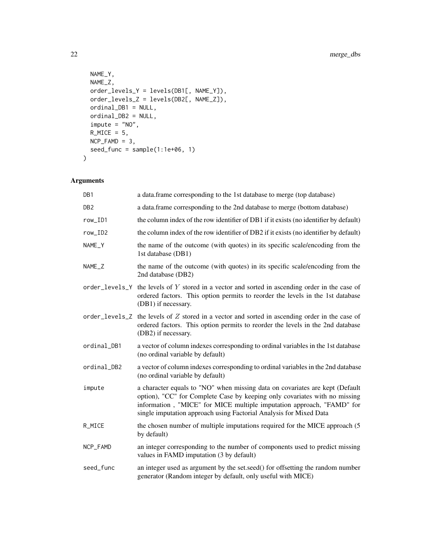```
NAME_Y,
 NAME_Z,
 order_levels_Y = levels(DB1[, NAME_Y]),
 order_levels_Z = levels(DB2[, NAME_Z]),
 ordinal_DB1 = NULL,
 ordinal_DB2 = NULL,
 impute = "NO",R_MICE = 5,
 NCP_FAMD = 3,
 seed_func = sample(1:1e+06, 1)
\mathcal{L}
```
# Arguments

| DB1             | a data.frame corresponding to the 1st database to merge (top database)                                                                                                                                                                                                                                    |
|-----------------|-----------------------------------------------------------------------------------------------------------------------------------------------------------------------------------------------------------------------------------------------------------------------------------------------------------|
| DB <sub>2</sub> | a data.frame corresponding to the 2nd database to merge (bottom database)                                                                                                                                                                                                                                 |
| row_ID1         | the column index of the row identifier of DB1 if it exists (no identifier by default)                                                                                                                                                                                                                     |
| row_ID2         | the column index of the row identifier of DB2 if it exists (no identifier by default)                                                                                                                                                                                                                     |
| NAME_Y          | the name of the outcome (with quotes) in its specific scale/encoding from the<br>1st database (DB1)                                                                                                                                                                                                       |
| NAME_Z          | the name of the outcome (with quotes) in its specific scale/encoding from the<br>2nd database (DB2)                                                                                                                                                                                                       |
| order_levels_Y  | the levels of $Y$ stored in a vector and sorted in ascending order in the case of<br>ordered factors. This option permits to reorder the levels in the 1st database<br>(DB1) if necessary.                                                                                                                |
|                 | order_levels_ $Z$ the levels of $Z$ stored in a vector and sorted in ascending order in the case of<br>ordered factors. This option permits to reorder the levels in the 2nd database<br>(DB2) if necessary.                                                                                              |
| ordinal_DB1     | a vector of column indexes corresponding to ordinal variables in the 1st database<br>(no ordinal variable by default)                                                                                                                                                                                     |
| ordinal_DB2     | a vector of column indexes corresponding to ordinal variables in the 2nd database<br>(no ordinal variable by default)                                                                                                                                                                                     |
| impute          | a character equals to "NO" when missing data on covariates are kept (Default<br>option), "CC" for Complete Case by keeping only covariates with no missing<br>information, "MICE" for MICE multiple imputation approach, "FAMD" for<br>single imputation approach using Factorial Analysis for Mixed Data |
| R_MICE          | the chosen number of multiple imputations required for the MICE approach (5)<br>by default)                                                                                                                                                                                                               |
| NCP_FAMD        | an integer corresponding to the number of components used to predict missing<br>values in FAMD imputation (3 by default)                                                                                                                                                                                  |
| seed_func       | an integer used as argument by the set.seed() for offsetting the random number<br>generator (Random integer by default, only useful with MICE)                                                                                                                                                            |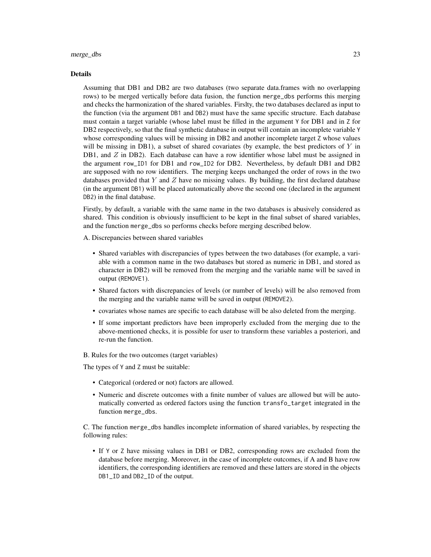#### merge\_dbs 23

#### Details

Assuming that DB1 and DB2 are two databases (two separate data.frames with no overlapping rows) to be merged vertically before data fusion, the function merge\_dbs performs this merging and checks the harmonization of the shared variables. Firslty, the two databases declared as input to the function (via the argument DB1 and DB2) must have the same specific structure. Each database must contain a target variable (whose label must be filled in the argument Y for DB1 and in Z for DB2 respectively, so that the final synthetic database in output will contain an incomplete variable Y whose corresponding values will be missing in DB2 and another incomplete target Z whose values will be missing in DB1), a subset of shared covariates (by example, the best predictors of  $Y$  in DB1, and  $Z$  in DB2). Each database can have a row identifier whose label must be assigned in the argument row\_ID1 for DB1 and row\_ID2 for DB2. Nevertheless, by default DB1 and DB2 are supposed with no row identifiers. The merging keeps unchanged the order of rows in the two databases provided that Y and Z have no missing values. By building, the first declared database (in the argument DB1) will be placed automatically above the second one (declared in the argument DB2) in the final database.

Firstly, by default, a variable with the same name in the two databases is abusively considered as shared. This condition is obviously insufficient to be kept in the final subset of shared variables, and the function merge\_dbs so performs checks before merging described below.

A. Discrepancies between shared variables

- Shared variables with discrepancies of types between the two databases (for example, a variable with a common name in the two databases but stored as numeric in DB1, and stored as character in DB2) will be removed from the merging and the variable name will be saved in output (REMOVE1).
- Shared factors with discrepancies of levels (or number of levels) will be also removed from the merging and the variable name will be saved in output (REMOVE2).
- covariates whose names are specific to each database will be also deleted from the merging.
- If some important predictors have been improperly excluded from the merging due to the above-mentioned checks, it is possible for user to transform these variables a posteriori, and re-run the function.
- B. Rules for the two outcomes (target variables)

The types of Y and Z must be suitable:

- Categorical (ordered or not) factors are allowed.
- Numeric and discrete outcomes with a finite number of values are allowed but will be automatically converted as ordered factors using the function transfo\_target integrated in the function merge\_dbs.

C. The function merge\_dbs handles incomplete information of shared variables, by respecting the following rules:

• If Y or Z have missing values in DB1 or DB2, corresponding rows are excluded from the database before merging. Moreover, in the case of incomplete outcomes, if A and B have row identifiers, the corresponding identifiers are removed and these latters are stored in the objects DB1\_ID and DB2\_ID of the output.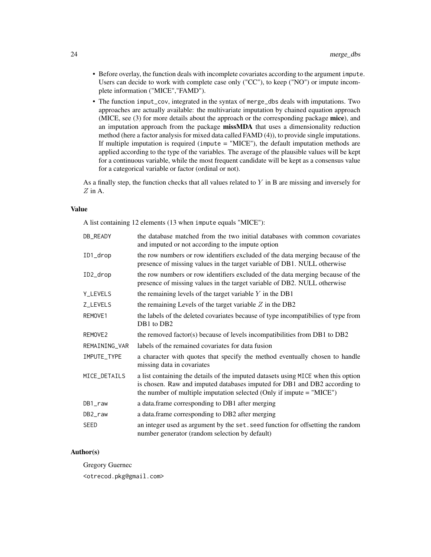- Before overlay, the function deals with incomplete covariates according to the argument impute. Users can decide to work with complete case only ("CC"), to keep ("NO") or impute incomplete information ("MICE","FAMD").
- The function imput\_cov, integrated in the syntax of merge\_dbs deals with imputations. Two approaches are actually available: the multivariate imputation by chained equation approach (MICE, see (3) for more details about the approach or the corresponding package **mice**), and an imputation approach from the package missMDA that uses a dimensionality reduction method (here a factor analysis for mixed data called FAMD (4)), to provide single imputations. If multiple imputation is required (impute  $=$  "MICE"), the default imputation methods are applied according to the type of the variables. The average of the plausible values will be kept for a continuous variable, while the most frequent candidate will be kept as a consensus value for a categorical variable or factor (ordinal or not).

As a finally step, the function checks that all values related to  $Y$  in B are missing and inversely for  $Z$  in A.

#### Value

A list containing 12 elements (13 when impute equals "MICE"):

| DB_READY      | the database matched from the two initial databases with common covariates<br>and imputed or not according to the impute option                                                                                                          |
|---------------|------------------------------------------------------------------------------------------------------------------------------------------------------------------------------------------------------------------------------------------|
| ID1_drop      | the row numbers or row identifiers excluded of the data merging because of the<br>presence of missing values in the target variable of DB1. NULL otherwise                                                                               |
| ID2_drop      | the row numbers or row identifiers excluded of the data merging because of the<br>presence of missing values in the target variable of DB2. NULL otherwise                                                                               |
| Y_LEVELS      | the remaining levels of the target variable $Y$ in the DB1                                                                                                                                                                               |
| Z_LEVELS      | the remaining Levels of the target variable $Z$ in the DB2                                                                                                                                                                               |
| REMOVE1       | the labels of the deleted covariates because of type incompatibilies of type from<br>DB1 to DB2                                                                                                                                          |
| REMOVE2       | the removed factor(s) because of levels incompatibilities from DB1 to DB2                                                                                                                                                                |
| REMAINING_VAR | labels of the remained covariates for data fusion                                                                                                                                                                                        |
| IMPUTE_TYPE   | a character with quotes that specify the method eventually chosen to handle<br>missing data in covariates                                                                                                                                |
| MICE_DETAILS  | a list containing the details of the imputed datasets using MICE when this option<br>is chosen. Raw and imputed databases imputed for DB1 and DB2 according to<br>the number of multiple imputation selected (Only if impute $=$ "MICE") |
| DB1_raw       | a data.frame corresponding to DB1 after merging                                                                                                                                                                                          |
| DB2_raw       | a data.frame corresponding to DB2 after merging                                                                                                                                                                                          |
| <b>SEED</b>   | an integer used as argument by the set. seed function for offsetting the random<br>number generator (random selection by default)                                                                                                        |

# Author(s)

Gregory Guernec

<otrecod.pkg@gmail.com>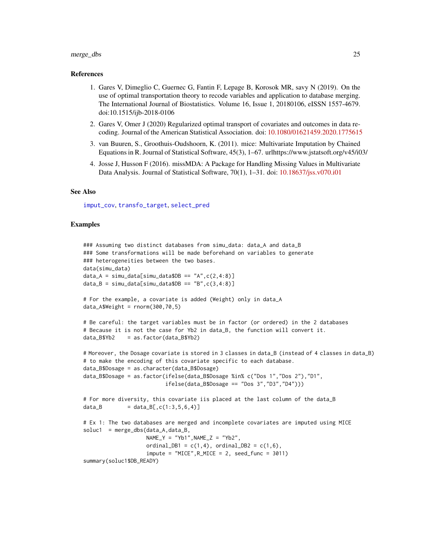#### <span id="page-24-0"></span>merge\_dbs 25

#### References

- 1. Gares V, Dimeglio C, Guernec G, Fantin F, Lepage B, Korosok MR, savy N (2019). On the use of optimal transportation theory to recode variables and application to database merging. The International Journal of Biostatistics. Volume 16, Issue 1, 20180106, eISSN 1557-4679. doi:10.1515/ijb-2018-0106
- 2. Gares V, Omer J (2020) Regularized optimal transport of covariates and outcomes in data recoding. Journal of the American Statistical Association. doi: [10.1080/01621459.2020.1775615](https://doi.org/10.1080/01621459.2020.1775615)
- 3. van Buuren, S., Groothuis-Oudshoorn, K. (2011). mice: Multivariate Imputation by Chained Equations in R. Journal of Statistical Software, 45(3), 1–67. urlhttps://www.jstatsoft.org/v45/i03/
- 4. Josse J, Husson F (2016). missMDA: A Package for Handling Missing Values in Multivariate Data Analysis. Journal of Statistical Software, 70(1), 1–31. doi: [10.18637/jss.v070.i01](https://doi.org/10.18637/jss.v070.i01)

#### See Also

[imput\\_cov](#page-11-1), [transfo\\_target](#page-59-1), [select\\_pred](#page-45-1)

#### Examples

```
### Assuming two distinct databases from simu_data: data_A and data_B
### Some transformations will be made beforehand on variables to generate
### heterogeneities between the two bases.
data(simu_data)
data_A = sim\_data[simu\_data$DB == "A", c(2,4:8)]data_B = sim\_data[simu\_data$DB == "B", c(3,4:8)]# For the example, a covariate is added (Weight) only in data_A
data_A$Weight = rnorm(300, 70, 5)# Be careful: the target variables must be in factor (or ordered) in the 2 databases
# Because it is not the case for Yb2 in data_B, the function will convert it.
data_B$Yb2 = as.factor(data_B$Yb2)
# Moreover, the Dosage covariate is stored in 3 classes in data_B (instead of 4 classes in data_B)
# to make the encoding of this covariate specific to each database.
data_B$Dosage = as.character(data_B$Dosage)
data_B$Dosage = as.factor(ifelse(data_B$Dosage %in% c("Dos 1","Dos 2"),"D1",
                          ifelse(data_B$Dosage == "Dos 3","D3","D4")))
# For more diversity, this covariate iis placed at the last column of the data_B
data_B = data_B[,c(1:3,5,6,4)]# Ex 1: The two databases are merged and incomplete covariates are imputed using MICE
solved = merge_dbs(data_A, data_B,NAME_Y = "Yb1", NAME_Z = "Yb2",ordinalDB1 = c(1, 4), ordinalDB2 = c(1, 6),
                    impute = "MICE", R_MICE = 2, seed_function = 3011)summary(soluc1$DB_READY)
```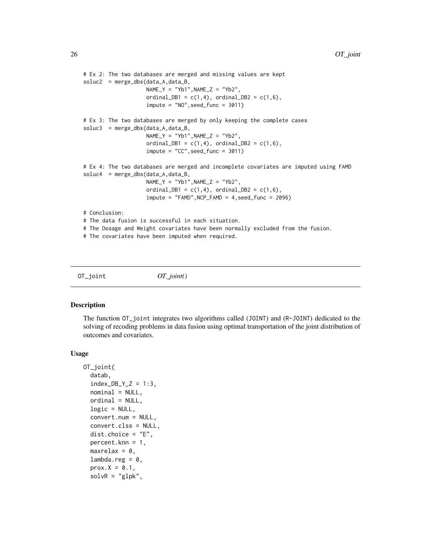```
# Ex 2: The two databases are merged and missing values are kept
soluc2 = merge_dbs(data_A,data_B,
                    NAME_Y = "Yb1", NAME_Z = "Yb2",ordinal_DB1 = c(1,4), ordinal_DB2 = c(1,6),
                    impute = "NO", seed_function = 3011)# Ex 3: The two databases are merged by only keeping the complete cases
soluc3 = merge_dbs(data_A,data_B,
                    NAME_Y = "Yb1", NAME_Z = "Yb2",ordinal_DB1 = c(1,4), ordinal_DB2 = c(1,6),
                    impute = "CC", seed_function = 3011)# Ex 4: The two databases are merged and incomplete covariates are imputed using FAMD
soluc4 = merge_dbs(data_A,data_B,
                    NAME_Y = "Yb1", NAME_Z = "Yb2",ordinalDB1 = c(1,4), ordinalDB2 = c(1,6),
                    impute = "FAMD",NCP_FAMD = 4,seed_func = 2096)
# Conclusion:
# The data fusion is successful in each situation.
# The Dosage and Weight covariates have been normally excluded from the fusion.
# The covariates have been imputed when required.
```
<span id="page-25-1"></span>OT\_joint *OT\_joint()*

#### **Description**

The function OT\_joint integrates two algorithms called (JOINT) and (R-JOINT) dedicated to the solving of recoding problems in data fusion using optimal transportation of the joint distribution of outcomes and covariates.

#### Usage

```
OT_joint(
  datab,
  index_DB_Y_Z = 1:3,
  nominal = NULL,ordinal = NULL,
  logic = NULL,
  convert.num = NULL,
  convert.clss = NULL,
  dist.choice = "E",percent.knn = 1,
  maxrelax = 0.
  lambda.reg = 0,prox.X = 0.1,
  solvR = "glpk",
```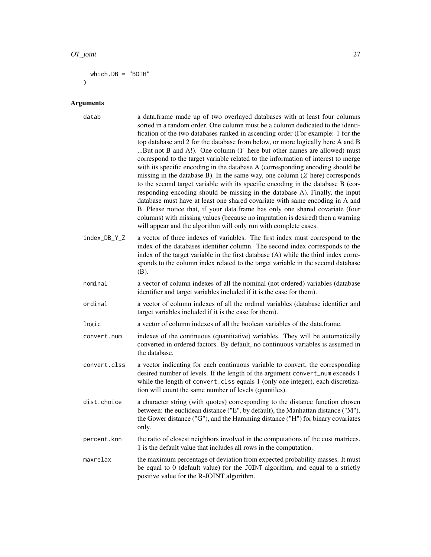```
which.BB = "BOTH")
```
#### Arguments

- datab a data.frame made up of two overlayed databases with at least four columns sorted in a random order. One column must be a column dedicated to the identification of the two databases ranked in ascending order (For example: 1 for the top database and 2 for the database from below, or more logically here A and B ...But not B and A!). One column  $(Y$  here but other names are allowed) must correspond to the target variable related to the information of interest to merge with its specific encoding in the database A (corresponding encoding should be missing in the database B). In the same way, one column  $(Z$  here) corresponds to the second target variable with its specific encoding in the database B (corresponding encoding should be missing in the database A). Finally, the input database must have at least one shared covariate with same encoding in A and B. Please notice that, if your data.frame has only one shared covariate (four columns) with missing values (because no imputation is desired) then a warning will appear and the algorithm will only run with complete cases.
- index\_DB\_Y\_Z a vector of three indexes of variables. The first index must correspond to the index of the databases identifier column. The second index corresponds to the index of the target variable in the first database (A) while the third index corresponds to the column index related to the target variable in the second database (B).
- nominal a vector of column indexes of all the nominal (not ordered) variables (database identifier and target variables included if it is the case for them).
- ordinal a vector of column indexes of all the ordinal variables (database identifier and target variables included if it is the case for them).
- logic a vector of column indexes of all the boolean variables of the data.frame.
- convert.num indexes of the continuous (quantitative) variables. They will be automatically converted in ordered factors. By default, no continuous variables is assumed in the database.
- convert.clss a vector indicating for each continuous variable to convert, the corresponding desired number of levels. If the length of the argument convert\_num exceeds 1 while the length of convert\_clss equals 1 (only one integer), each discretization will count the same number of levels (quantiles).
- dist.choice a character string (with quotes) corresponding to the distance function chosen between: the euclidean distance ("E", by default), the Manhattan distance ("M"), the Gower distance ("G"), and the Hamming distance ("H") for binary covariates only.
- percent.knn the ratio of closest neighbors involved in the computations of the cost matrices. 1 is the default value that includes all rows in the computation.
- maxrelax the maximum percentage of deviation from expected probability masses. It must be equal to 0 (default value) for the JOINT algorithm, and equal to a strictly positive value for the R-JOINT algorithm.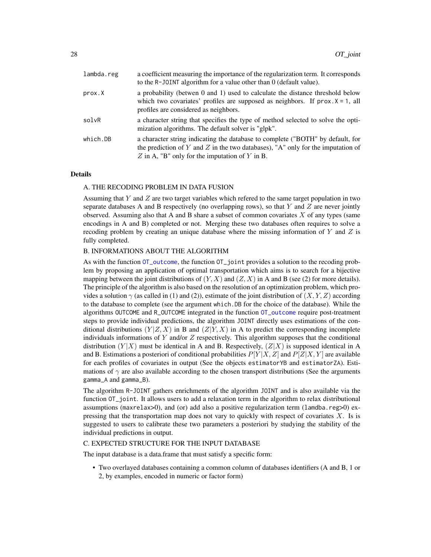<span id="page-27-0"></span>

| lambda.reg | a coefficient measuring the importance of the regularization term. It corresponds<br>to the R-JOINT algorithm for a value other than 0 (default value).                                                             |
|------------|---------------------------------------------------------------------------------------------------------------------------------------------------------------------------------------------------------------------|
| prox.X     | a probability (betwen 0 and 1) used to calculate the distance threshold below<br>which two covariates' profiles are supposed as neighbors. If $prox.X = 1$ , all<br>profiles are considered as neighbors.           |
| solvR      | a character string that specifies the type of method selected to solve the opti-<br>mization algorithms. The default solver is "glpk".                                                                              |
| which.DB   | a character string indicating the database to complete ("BOTH" by default, for<br>the prediction of Y and Z in the two databases), "A" only for the imputation of<br>Z in A, "B" only for the imputation of Y in B. |

#### Details

#### A. THE RECODING PROBLEM IN DATA FUSION

Assuming that Y and Z are two target variables which refered to the same target population in two separate databases A and B respectively (no overlapping rows), so that  $Y$  and  $Z$  are never jointly observed. Assuming also that A and B share a subset of common covariates  $X$  of any types (same encodings in A and B) completed or not. Merging these two databases often requires to solve a recoding problem by creating an unique database where the missing information of  $Y$  and  $Z$  is fully completed.

# B. INFORMATIONS ABOUT THE ALGORITHM

As with the function [OT\\_outcome](#page-32-1), the function OT\_joint provides a solution to the recoding problem by proposing an application of optimal transportation which aims is to search for a bijective mapping between the joint distributions of  $(Y, X)$  and  $(Z, X)$  in A and B (see (2) for more details). The principle of the algorithm is also based on the resolution of an optimization problem, which provides a solution  $\gamma$  (as called in (1) and (2)), estimate of the joint distribution of  $(X, Y, Z)$  according to the database to complete (see the argument which.DB for the choice of the database). While the algorithms OUTCOME and R\_OUTCOME integrated in the function [OT\\_outcome](#page-32-1) require post-treatment steps to provide individual predictions, the algorithm JOINT directly uses estimations of the conditional distributions  $(Y|Z, X)$  in B and  $(Z|Y, X)$  in A to predict the corresponding incomplete individuals informations of Y and/or  $Z$  respectively. This algorithm supposes that the conditional distribution  $(Y|X)$  must be identical in A and B. Respectively,  $(Z|X)$  is supposed identical in A and B. Estimations a posteriori of conditional probabilities  $P[Y|X, Z]$  and  $P[Z|X, Y]$  are available for each profiles of covariates in output (See the objects estimatorYB and estimatorZA). Estimations of  $\gamma$  are also available according to the chosen transport distributions (See the arguments gamma\_A and gamma\_B).

The algorithm R-JOINT gathers enrichments of the algorithm JOINT and is also available via the function OT\_joint. It allows users to add a relaxation term in the algorithm to relax distributional assumptions (maxrelax>0), and (or) add also a positive regularization term (lamdba.reg>0) expressing that the transportation map does not vary to quickly with respect of covariates  $X$ . Is is suggested to users to calibrate these two parameters a posteriori by studying the stability of the individual predictions in output.

## C. EXPECTED STRUCTURE FOR THE INPUT DATABASE

The input database is a data.frame that must satisfy a specific form:

• Two overlayed databases containing a common column of databases identifiers (A and B, 1 or 2, by examples, encoded in numeric or factor form)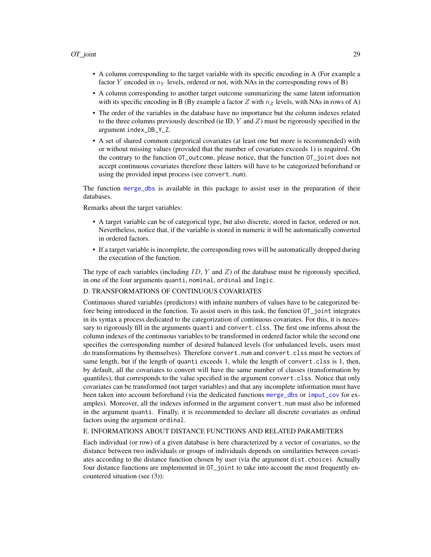- <span id="page-28-0"></span>• A column corresponding to the target variable with its specific encoding in A (For example a factor Y encoded in  $n_Y$  levels, ordered or not, with NAs in the corresponding rows of B)
- A column corresponding to another target outcome summarizing the same latent information with its specific encoding in B (By example a factor Z with  $n_z$  levels, with NAs in rows of A)
- The order of the variables in the database have no importance but the column indexes related to the three columns previously described (ie ID,  $Y$  and  $Z$ ) must be rigorously specified in the argument index\_DB\_Y\_Z.
- A set of shared common categorical covariates (at least one but more is recommended) with or without missing values (provided that the number of covariates exceeds 1) is required. On the contrary to the function OT\_outcome, please notice, that the function OT\_joint does not accept continuous covariates therefore these latters will have to be categorized beforehand or using the provided input process (see convert.num).

The function [merge\\_dbs](#page-20-1) is available in this package to assist user in the preparation of their databases.

Remarks about the target variables:

- A target variable can be of categorical type, but also discrete, stored in factor, ordered or not. Nevertheless, notice that, if the variable is stored in numeric it will be automatically converted in ordered factors.
- If a target variable is incomplete, the corresponding rows will be automatically dropped during the execution of the function.

The type of each variables (including  $ID, Y$  and  $Z$ ) of the database must be rigorously specified, in one of the four arguments quanti, nominal, ordinal and logic.

#### D. TRANSFORMATIONS OF CONTINUOUS COVARIATES

Continuous shared variables (predictors) with infinite numbers of values have to be categorized before being introduced in the function. To assist users in this task, the function OT\_joint integrates in its syntax a process dedicated to the categorization of continuous covariates. For this, it is necessary to rigorously fill in the arguments quanti and convert.clss. The first one informs about the column indexes of the continuous variables to be transformed in ordered factor while the second one specifies the corresponding number of desired balanced levels (for unbalanced levels, users must do transformations by themselves). Therefore convert.num and convert.clss must be vectors of same length, but if the length of quanti exceeds 1, while the length of convert.clss is 1, then, by default, all the covariates to convert will have the same number of classes (transformation by quantiles), that corresponds to the value specified in the argument convert.clss. Notice that only covariates can be transformed (not target variables) and that any incomplete information must have been taken into account beforehand (via the dedicated functions [merge\\_dbs](#page-20-1) or [imput\\_cov](#page-11-1) for examples). Moreover, all the indexes informed in the argument convert.num must also be informed in the argument quanti. Finally, it is recommended to declare all discrete covariates as ordinal factors using the argument ordinal.

#### E. INFORMATIONS ABOUT DISTANCE FUNCTIONS AND RELATED PARAMETERS

Each individual (or row) of a given database is here characterized by a vector of covariates, so the distance between two individuals or groups of individuals depends on similarities between covariates according to the distance function chosen by user (via the argument dist.choice). Actually four distance functions are implemented in OT\_joint to take into account the most frequently encountered situation (see (3)):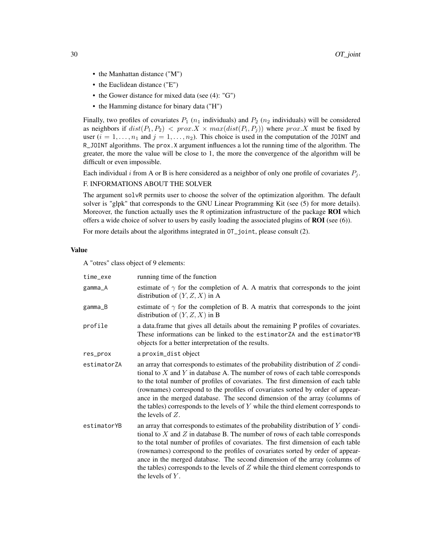- the Manhattan distance ("M")
- the Euclidean distance ("E")
- the Gower distance for mixed data (see (4): "G")
- the Hamming distance for binary data ("H")

Finally, two profiles of covariates  $P_1$  ( $n_1$  individuals) and  $P_2$  ( $n_2$  individuals) will be considered as neighbors if  $dist(P_1, P_2) < prox X \times max(dist(P_i, P_j))$  where  $prox.X$  must be fixed by user  $(i = 1, \ldots, n_1$  and  $j = 1, \ldots, n_2$ ). This choice is used in the computation of the JOINT and R\_JOINT algorithms. The prox.X argument influences a lot the running time of the algorithm. The greater, the more the value will be close to 1, the more the convergence of the algorithm will be difficult or even impossible.

Each individual i from A or B is here considered as a neighbor of only one profile of covariates  $P_j$ . F. INFORMATIONS ABOUT THE SOLVER

The argument solvR permits user to choose the solver of the optimization algorithm. The default solver is "glpk" that corresponds to the GNU Linear Programming Kit (see (5) for more details). Moreover, the function actually uses the R optimization infrastructure of the package ROI which offers a wide choice of solver to users by easily loading the associated plugins of  $ROI$  (see (6)).

For more details about the algorithms integrated in OT\_joint, please consult (2).

#### Value

A "otres" class object of 9 elements:

| time_exe    | running time of the function                                                                                                                                                                                                                                                                                                                                                                                                                                                                                                                |
|-------------|---------------------------------------------------------------------------------------------------------------------------------------------------------------------------------------------------------------------------------------------------------------------------------------------------------------------------------------------------------------------------------------------------------------------------------------------------------------------------------------------------------------------------------------------|
| gamma_A     | estimate of $\gamma$ for the completion of A. A matrix that corresponds to the joint<br>distribution of $(Y, Z, X)$ in A                                                                                                                                                                                                                                                                                                                                                                                                                    |
| gamma_B     | estimate of $\gamma$ for the completion of B. A matrix that corresponds to the joint<br>distribution of $(Y, Z, X)$ in B                                                                                                                                                                                                                                                                                                                                                                                                                    |
| profile     | a data.frame that gives all details about the remaining P profiles of covariates.<br>These informations can be linked to the estimatorZA and the estimatorYB<br>objects for a better interpretation of the results.                                                                                                                                                                                                                                                                                                                         |
| res_prox    | a proxim_dist object                                                                                                                                                                                                                                                                                                                                                                                                                                                                                                                        |
| estimatorZA | an array that corresponds to estimates of the probability distribution of $Z$ condi-<br>tional to $X$ and $Y$ in database A. The number of rows of each table corresponds<br>to the total number of profiles of covariates. The first dimension of each table<br>(rownames) correspond to the profiles of covariates sorted by order of appear-<br>ance in the merged database. The second dimension of the array (columns of<br>the tables) corresponds to the levels of $Y$ while the third element corresponds to<br>the levels of $Z$ . |
| estimatorYB | an array that corresponds to estimates of the probability distribution of $Y$ condi-<br>tional to $X$ and $Z$ in database B. The number of rows of each table corresponds<br>to the total number of profiles of covariates. The first dimension of each table<br>(rownames) correspond to the profiles of covariates sorted by order of appear-<br>ance in the merged database. The second dimension of the array (columns of<br>the tables) corresponds to the levels of $Z$ while the third element corresponds to<br>the levels of $Y$ . |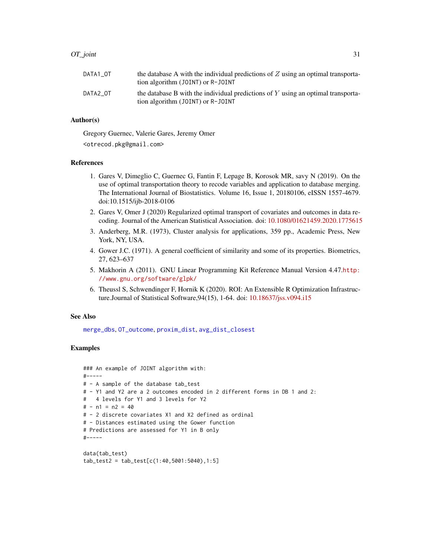<span id="page-30-0"></span>

| DATA1 OT | the database A with the individual predictions of $Z$ using an optimal transporta-<br>tion algorithm (JOINT) or R-JOINT |
|----------|-------------------------------------------------------------------------------------------------------------------------|
| DATA2 OT | the database B with the individual predictions of $Y$ using an optimal transporta-<br>tion algorithm (JOINT) or R-JOINT |

# Author(s)

Gregory Guernec, Valerie Gares, Jeremy Omer

<otrecod.pkg@gmail.com>

#### References

- 1. Gares V, Dimeglio C, Guernec G, Fantin F, Lepage B, Korosok MR, savy N (2019). On the use of optimal transportation theory to recode variables and application to database merging. The International Journal of Biostatistics. Volume 16, Issue 1, 20180106, eISSN 1557-4679. doi:10.1515/ijb-2018-0106
- 2. Gares V, Omer J (2020) Regularized optimal transport of covariates and outcomes in data recoding. Journal of the American Statistical Association. doi: [10.1080/01621459.2020.1775615](https://doi.org/10.1080/01621459.2020.1775615)
- 3. Anderberg, M.R. (1973), Cluster analysis for applications, 359 pp., Academic Press, New York, NY, USA.
- 4. Gower J.C. (1971). A general coefficient of similarity and some of its properties. Biometrics, 27, 623–637
- 5. Makhorin A (2011). GNU Linear Programming Kit Reference Manual Version 4.47.[http:](http://www.gnu.org/software/glpk/) [//www.gnu.org/software/glpk/](http://www.gnu.org/software/glpk/)
- 6. Theussl S, Schwendinger F, Hornik K (2020). ROI: An Extensible R Optimization Infrastructure.Journal of Statistical Software,94(15), 1-64. doi: [10.18637/jss.v094.i15](https://doi.org/10.18637/jss.v094.i15)

#### See Also

[merge\\_dbs](#page-20-1), [OT\\_outcome](#page-32-1), [proxim\\_dist](#page-40-1), [avg\\_dist\\_closest](#page-3-1)

# Examples

```
### An example of JOINT algorithm with:
#-----
# - A sample of the database tab_test
# - Y1 and Y2 are a 2 outcomes encoded in 2 different forms in DB 1 and 2:
# 4 levels for Y1 and 3 levels for Y2
# - n1 = n2 = 40
# - 2 discrete covariates X1 and X2 defined as ordinal
# - Distances estimated using the Gower function
# Predictions are assessed for Y1 in B only
#-----
data(tab_test)
```

```
tab_test2 = tab_test[c(1:40,5001:5040),1:5]
```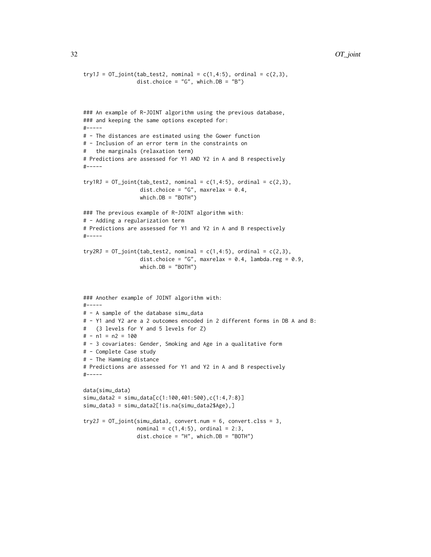#### 32 OT\_joint

```
try1J = OT_joint(tab_test2, nominal = c(1,4:5), ordinal = c(2,3),dist.choice = "G", which.DB = "B")
### An example of R-JOINT algorithm using the previous database,
### and keeping the same options excepted for:
#-----
# - The distances are estimated using the Gower function
# - Inclusion of an error term in the constraints on
  the marginals (relaxation term)
# Predictions are assessed for Y1 AND Y2 in A and B respectively
#-----
try1RJ = OT_joint(tab_test2, nominal = c(1,4:5), ordinal = c(2,3),dist.choice = "G", maxrelax = 0.4,
                  which.DB = "BOTH")
### The previous example of R-JOINT algorithm with:
# - Adding a regularization term
# Predictions are assessed for Y1 and Y2 in A and B respectively
#-----
try2RJ = OT_joint(tab_test2, nominal = c(1,4:5), ordinal = c(2,3),dist.choice = "G", maxrelax = 0.4, lambda.reg = 0.9,
                  which.DB = "BOTH")
### Another example of JOINT algorithm with:
#-----
# - A sample of the database simu_data
# - Y1 and Y2 are a 2 outcomes encoded in 2 different forms in DB A and B:
# (3 levels for Y and 5 levels for Z)
# - n1 = n2 = 100
# - 3 covariates: Gender, Smoking and Age in a qualitative form
# - Complete Case study
# - The Hamming distance
# Predictions are assessed for Y1 and Y2 in A and B respectively
#-----
data(simu_data)
simu_data2 = simu_data[c(1:100,401:500),c(1:4,7:8)]
simu_data3 = simu_data2[!is.na(simu_data2$Age),]
try2J = OT_joint(simu_data3, convert.num = 6, convert.class = 3,normal = c(1, 4:5), ordinal = 2:3,
                 dist.choice = "H", which.DB = "BOTH")
```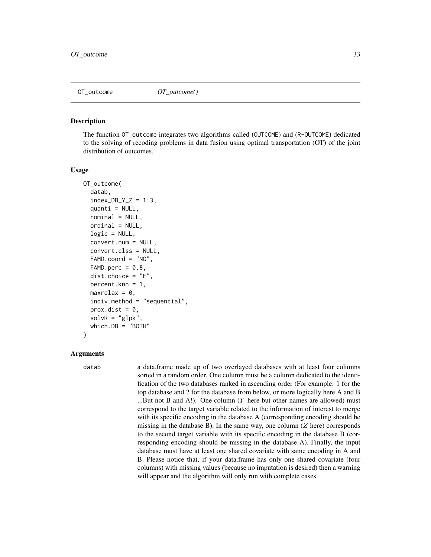<span id="page-32-1"></span><span id="page-32-0"></span>

#### Description

The function OT\_outcome integrates two algorithms called (OUTCOME) and (R-OUTCOME) dedicated to the solving of recoding problems in data fusion using optimal transportation (OT) of the joint distribution of outcomes.

#### Usage

```
OT_outcome(
  datab,
  index_DB_Y_Z = 1:3,quanti = NULL,nominal = NULL,
  ordinal = NULL,
  logic = NULL,convert.num = NULL,
  convert.clss = NULL,
  FAMD.coord = "NO",
  FAMD.perc = 0.8,
  dist.choice = "E",percent.knn = 1,
  maxrelax = 0,
  indiv.method = "sequential",
  prox.dist = 0,
  solvR = "glpk",which.DB = "BOTH"
)
```
#### Arguments

datab a data.frame made up of two overlayed databases with at least four columns sorted in a random order. One column must be a column dedicated to the identification of the two databases ranked in ascending order (For example: 1 for the top database and 2 for the database from below, or more logically here A and B ...But not B and A!). One column (Y here but other names are allowed) must correspond to the target variable related to the information of interest to merge with its specific encoding in the database A (corresponding encoding should be missing in the database B). In the same way, one column  $(Z$  here) corresponds to the second target variable with its specific encoding in the database B (corresponding encoding should be missing in the database A). Finally, the input database must have at least one shared covariate with same encoding in A and B. Please notice that, if your data.frame has only one shared covariate (four columns) with missing values (because no imputation is desired) then a warning will appear and the algorithm will only run with complete cases.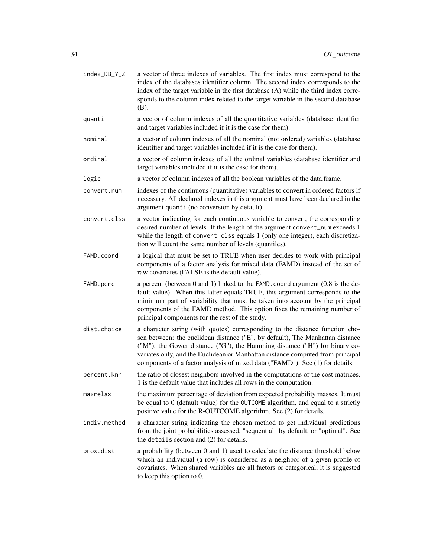| index_DB_Y_Z | a vector of three indexes of variables. The first index must correspond to the<br>index of the databases identifier column. The second index corresponds to the<br>index of the target variable in the first database (A) while the third index corre-<br>sponds to the column index related to the target variable in the second database<br>(B).                                                            |
|--------------|---------------------------------------------------------------------------------------------------------------------------------------------------------------------------------------------------------------------------------------------------------------------------------------------------------------------------------------------------------------------------------------------------------------|
| quanti       | a vector of column indexes of all the quantitative variables (database identifier<br>and target variables included if it is the case for them).                                                                                                                                                                                                                                                               |
| nominal      | a vector of column indexes of all the nominal (not ordered) variables (database<br>identifier and target variables included if it is the case for them).                                                                                                                                                                                                                                                      |
| ordinal      | a vector of column indexes of all the ordinal variables (database identifier and<br>target variables included if it is the case for them).                                                                                                                                                                                                                                                                    |
| logic        | a vector of column indexes of all the boolean variables of the data.frame.                                                                                                                                                                                                                                                                                                                                    |
| convert.num  | indexes of the continuous (quantitative) variables to convert in ordered factors if<br>necessary. All declared indexes in this argument must have been declared in the<br>argument quanti (no conversion by default).                                                                                                                                                                                         |
| convert.clss | a vector indicating for each continuous variable to convert, the corresponding<br>desired number of levels. If the length of the argument convert_num exceeds 1<br>while the length of convert_clss equals 1 (only one integer), each discretiza-<br>tion will count the same number of levels (quantiles).                                                                                                   |
| FAMD.coord   | a logical that must be set to TRUE when user decides to work with principal<br>components of a factor analysis for mixed data (FAMD) instead of the set of<br>raw covariates (FALSE is the default value).                                                                                                                                                                                                    |
| FAMD.perc    | a percent (between 0 and 1) linked to the FAMD. coord argument (0.8 is the de-<br>fault value). When this latter equals TRUE, this argument corresponds to the<br>minimum part of variability that must be taken into account by the principal<br>components of the FAMD method. This option fixes the remaining number of<br>principal components for the rest of the study.                                 |
| dist.choice  | a character string (with quotes) corresponding to the distance function cho-<br>sen between: the euclidean distance ("E", by default), The Manhattan distance<br>("M"), the Gower distance ("G"), the Hamming distance ("H") for binary co-<br>variates only, and the Euclidean or Manhattan distance computed from principal<br>components of a factor analysis of mixed data ("FAMD"). See (1) for details. |
| percent.knn  | the ratio of closest neighbors involved in the computations of the cost matrices.<br>1 is the default value that includes all rows in the computation.                                                                                                                                                                                                                                                        |
| maxrelax     | the maximum percentage of deviation from expected probability masses. It must<br>be equal to 0 (default value) for the OUTCOME algorithm, and equal to a strictly<br>positive value for the R-OUTCOME algorithm. See (2) for details.                                                                                                                                                                         |
| indiv.method | a character string indicating the chosen method to get individual predictions<br>from the joint probabilities assessed, "sequential" by default, or "optimal". See<br>the details section and (2) for details.                                                                                                                                                                                                |
| prox.dist    | a probability (between 0 and 1) used to calculate the distance threshold below<br>which an individual (a row) is considered as a neighbor of a given profile of<br>covariates. When shared variables are all factors or categorical, it is suggested<br>to keep this option to 0.                                                                                                                             |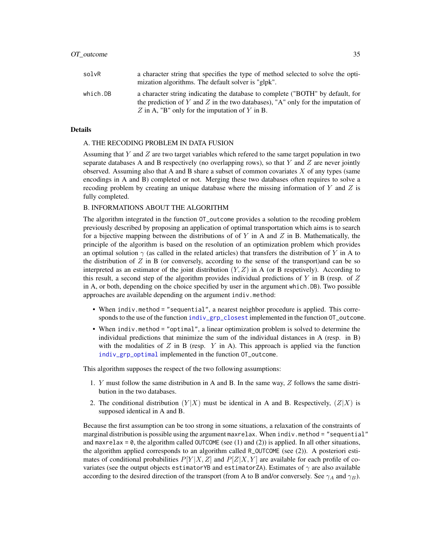<span id="page-34-0"></span>

| solvR    | a character string that specifies the type of method selected to solve the opti-<br>mization algorithms. The default solver is "glpk".                            |
|----------|-------------------------------------------------------------------------------------------------------------------------------------------------------------------|
| which.DB | a character string indicating the database to complete ("BOTH" by default, for<br>the prediction of Y and Z in the two databases), "A" only for the imputation of |
|          | Z in A, "B" only for the imputation of Y in B.                                                                                                                    |

#### Details

#### A. THE RECODING PROBLEM IN DATA FUSION

Assuming that  $Y$  and  $Z$  are two target variables which refered to the same target population in two separate databases A and B respectively (no overlapping rows), so that  $Y$  and  $Z$  are never jointly observed. Assuming also that A and B share a subset of common covariates  $X$  of any types (same encodings in A and B) completed or not. Merging these two databases often requires to solve a recoding problem by creating an unique database where the missing information of  $Y$  and  $Z$  is fully completed.

#### B. INFORMATIONS ABOUT THE ALGORITHM

The algorithm integrated in the function OT\_outcome provides a solution to the recoding problem previously described by proposing an application of optimal transportation which aims is to search for a bijective mapping between the distributions of of Y in A and Z in B. Mathematically, the principle of the algorithm is based on the resolution of an optimization problem which provides an optimal solution  $\gamma$  (as called in the related articles) that transfers the distribution of Y in A to the distribution of  $Z$  in B (or conversely, according to the sense of the transport)and can be so interpreted as an estimator of the joint distribution  $(Y, Z)$  in A (or B respetively). According to this result, a second step of the algorithm provides individual predictions of Y in B (resp. of  $Z$ in A, or both, depending on the choice specified by user in the argument which.DB). Two possible approaches are available depending on the argument indiv.method:

- When indiv.method = "sequential", a nearest neighbor procedure is applied. This corresponds to the use of the function [indiv\\_grp\\_closest](#page-13-1) implemented in the function OT\_outcome.
- When indiv.method = "optimal", a linear optimization problem is solved to determine the individual predictions that minimize the sum of the individual distances in A (resp. in B) with the modalities of  $Z$  in B (resp.  $Y$  in A). This approach is applied via the function [indiv\\_grp\\_optimal](#page-16-1) implemented in the function OT\_outcome.

This algorithm supposes the respect of the two following assumptions:

- 1. Y must follow the same distribution in A and B. In the same way, Z follows the same distribution in the two databases.
- 2. The conditional distribution  $(Y|X)$  must be identical in A and B. Respectively,  $(Z|X)$  is supposed identical in A and B.

Because the first assumption can be too strong in some situations, a relaxation of the constraints of marginal distribution is possible using the argument maxrelax. When indiv.method = "sequential" and maxrelax =  $\theta$ , the algorithm called OUTCOME (see (1) and (2)) is applied. In all other situations, the algorithm applied corresponds to an algorithm called R\_OUTCOME (see (2)). A posteriori estimates of conditional probabilities  $P[Y|X, Z]$  and  $P[Z|X, Y]$  are available for each profile of covariates (see the output objects estimatorYB and estimatorZA). Estimates of  $\gamma$  are also available according to the desired direction of the transport (from A to B and/or conversely. See  $\gamma_A$  and  $\gamma_B$ ).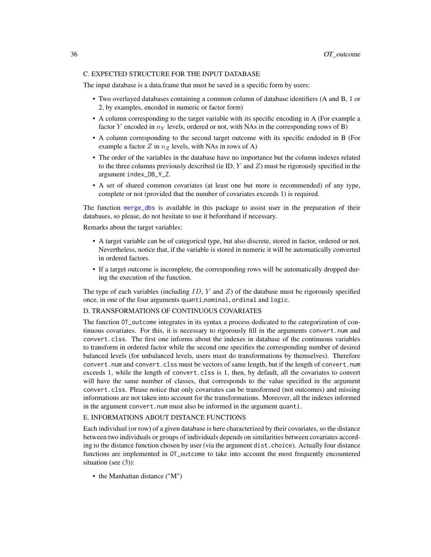# <span id="page-35-0"></span>C. EXPECTED STRUCTURE FOR THE INPUT DATABASE

The input database is a data.frame that must be saved in a specific form by users:

- Two overlayed databases containing a common column of database identifiers (A and B, 1 or 2, by examples, encoded in numeric or factor form)
- A column corresponding to the target variable with its specific encoding in A (For example a factor Y encoded in  $n_Y$  levels, ordered or not, with NAs in the corresponding rows of B)
- A column corresponding to the second target outcome with its specific endoded in B (For example a factor Z in  $n_Z$  levels, with NAs in rows of A)
- The order of the variables in the database have no importance but the column indexes related to the three columns previously described (ie ID,  $Y$  and  $Z$ ) must be rigorously specified in the argument index\_DB\_Y\_Z.
- A set of shared common covariates (at least one but more is recommended) of any type, complete or not (provided that the number of covariates exceeds 1) is required.

The function [merge\\_dbs](#page-20-1) is available in this package to assist user in the preparation of their databases, so please, do not hesitate to use it beforehand if necessary.

Remarks about the target variables:

- A target variable can be of categorical type, but also discrete, stored in factor, ordered or not. Nevertheless, notice that, if the variable is stored in numeric it will be automatically converted in ordered factors.
- If a target outcome is incomplete, the corresponding rows will be automatically dropped during the execution of the function.

The type of each variables (including  $ID, Y$  and  $Z$ ) of the database must be rigorously specified once, in one of the four arguments quanti,nominal, ordinal and logic.

#### D. TRANSFORMATIONS OF CONTINUOUS COVARIATES

The function OT\_outcome integrates in its syntax a process dedicated to the categorization of continuous covariates. For this, it is necessary to rigorously fill in the arguments convert.num and convert.clss. The first one informs about the indexes in database of the continuous variables to transform in ordered factor while the second one specifies the corresponding number of desired balanced levels (for unbalanced levels, users must do transformations by themselves). Therefore convert.num and convert.clss must be vectors of same length, but if the length of convert.num exceeds 1, while the length of convert.clss is 1, then, by default, all the covariates to convert will have the same number of classes, that corresponds to the value specified in the argument convert.clss. Please notice that only covariates can be transformed (not outcomes) and missing informations are not taken into account for the transformations. Moreover, all the indexes informed in the argument convert.num must also be informed in the argument quanti.

#### E. INFORMATIONS ABOUT DISTANCE FUNCTIONS

Each individual (or row) of a given database is here characterized by their covariates, so the distance between two individuals or groups of individuals depends on similarities between covariates according to the distance function chosen by user (via the argument dist.choice). Actually four distance functions are implemented in OT\_outcome to take into account the most frequently encountered situation (see (3)):

• the Manhattan distance ("M")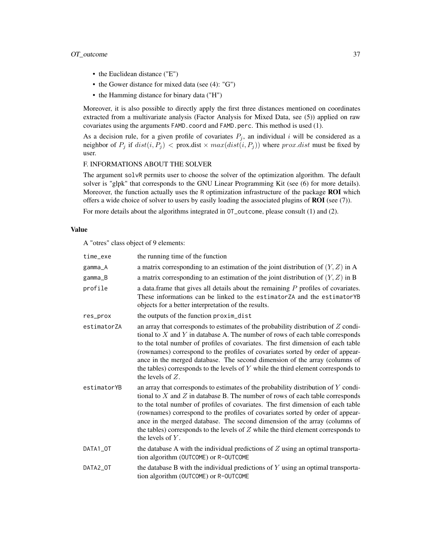# OT\_outcome 37

- the Euclidean distance ("E")
- the Gower distance for mixed data (see (4): "G")
- the Hamming distance for binary data ("H")

Moreover, it is also possible to directly apply the first three distances mentioned on coordinates extracted from a multivariate analysis (Factor Analysis for Mixed Data, see (5)) applied on raw covariates using the arguments FAMD.coord and FAMD.perc. This method is used (1).

As a decision rule, for a given profile of covariates  $P_j$ , an individual i will be considered as a neighbor of  $P_j$  if  $dist(i, P_j) <$  prox.dist  $\times max(dist(i, P_j))$  where  $prox.dist$  must be fixed by user.

# F. INFORMATIONS ABOUT THE SOLVER

The argument solvR permits user to choose the solver of the optimization algorithm. The default solver is "glpk" that corresponds to the GNU Linear Programming Kit (see (6) for more details). Moreover, the function actually uses the R optimization infrastructure of the package **ROI** which offers a wide choice of solver to users by easily loading the associated plugins of  $ROI$  (see (7)).

For more details about the algorithms integrated in OT\_outcome, please consult (1) and (2).

#### Value

A "otres" class object of 9 elements:

| time_exe    | the running time of the function                                                                                                                                                                                                                                                                                                                                                                                                                                                                                                            |
|-------------|---------------------------------------------------------------------------------------------------------------------------------------------------------------------------------------------------------------------------------------------------------------------------------------------------------------------------------------------------------------------------------------------------------------------------------------------------------------------------------------------------------------------------------------------|
| gamma_A     | a matrix corresponding to an estimation of the joint distribution of $(Y, Z)$ in A                                                                                                                                                                                                                                                                                                                                                                                                                                                          |
| gamma_B     | a matrix corresponding to an estimation of the joint distribution of $(Y, Z)$ in B                                                                                                                                                                                                                                                                                                                                                                                                                                                          |
| profile     | a data. frame that gives all details about the remaining $P$ profiles of covariates.<br>These informations can be linked to the estimatorZA and the estimatorYB<br>objects for a better interpretation of the results.                                                                                                                                                                                                                                                                                                                      |
| res_prox    | the outputs of the function proxim_dist                                                                                                                                                                                                                                                                                                                                                                                                                                                                                                     |
| estimatorZA | an array that corresponds to estimates of the probability distribution of $Z$ condi-<br>tional to $X$ and $Y$ in database A. The number of rows of each table corresponds<br>to the total number of profiles of covariates. The first dimension of each table<br>(rownames) correspond to the profiles of covariates sorted by order of appear-<br>ance in the merged database. The second dimension of the array (columns of<br>the tables) corresponds to the levels of $Y$ while the third element corresponds to<br>the levels of $Z$ . |
| estimatorYB | an array that corresponds to estimates of the probability distribution of $Y$ condi-<br>tional to $X$ and $Z$ in database B. The number of rows of each table corresponds<br>to the total number of profiles of covariates. The first dimension of each table<br>(rownames) correspond to the profiles of covariates sorted by order of appear-<br>ance in the merged database. The second dimension of the array (columns of<br>the tables) corresponds to the levels of $Z$ while the third element corresponds to<br>the levels of $Y$ . |
| DATA1_OT    | the database A with the individual predictions of $Z$ using an optimal transporta-<br>tion algorithm (OUTCOME) or R-OUTCOME                                                                                                                                                                                                                                                                                                                                                                                                                 |
| DATA2_OT    | the database B with the individual predictions of $Y$ using an optimal transporta-<br>tion algorithm (OUTCOME) or R-OUTCOME                                                                                                                                                                                                                                                                                                                                                                                                                 |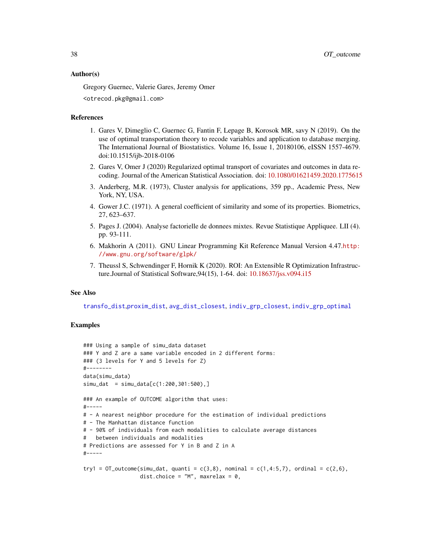#### <span id="page-37-0"></span>Author(s)

Gregory Guernec, Valerie Gares, Jeremy Omer

<otrecod.pkg@gmail.com>

#### References

- 1. Gares V, Dimeglio C, Guernec G, Fantin F, Lepage B, Korosok MR, savy N (2019). On the use of optimal transportation theory to recode variables and application to database merging. The International Journal of Biostatistics. Volume 16, Issue 1, 20180106, eISSN 1557-4679. doi:10.1515/ijb-2018-0106
- 2. Gares V, Omer J (2020) Regularized optimal transport of covariates and outcomes in data recoding. Journal of the American Statistical Association. doi: [10.1080/01621459.2020.1775615](https://doi.org/10.1080/01621459.2020.1775615)
- 3. Anderberg, M.R. (1973), Cluster analysis for applications, 359 pp., Academic Press, New York, NY, USA.
- 4. Gower J.C. (1971). A general coefficient of similarity and some of its properties. Biometrics, 27, 623–637.
- 5. Pages J. (2004). Analyse factorielle de donnees mixtes. Revue Statistique Appliquee. LII (4). pp. 93-111.
- 6. Makhorin A (2011). GNU Linear Programming Kit Reference Manual Version 4.47.[http:](http://www.gnu.org/software/glpk/) [//www.gnu.org/software/glpk/](http://www.gnu.org/software/glpk/)
- 7. Theussl S, Schwendinger F, Hornik K (2020). ROI: An Extensible R Optimization Infrastructure.Journal of Statistical Software,94(15), 1-64. doi: [10.18637/jss.v094.i15](https://doi.org/10.18637/jss.v094.i15)

#### See Also

[transfo\\_dist](#page-54-1),[proxim\\_dist](#page-40-1), [avg\\_dist\\_closest](#page-3-1), [indiv\\_grp\\_closest](#page-13-1), [indiv\\_grp\\_optimal](#page-16-1)

#### Examples

```
### Using a sample of simu_data dataset
### Y and Z are a same variable encoded in 2 different forms:
### (3 levels for Y and 5 levels for Z)
#--------
data(simu_data)
sim\_dat = simu\_data[c(1:200, 301:500), ]### An example of OUTCOME algorithm that uses:
#-----
# - A nearest neighbor procedure for the estimation of individual predictions
# - The Manhattan distance function
# - 90% of individuals from each modalities to calculate average distances
# between individuals and modalities
# Predictions are assessed for Y in B and Z in A
#-----
try1 = OT_outcome(simu_dat, quanti = c(3,8), nominal = c(1,4:5,7), ordinal = c(2,6),
                  dist.choice = 'M'', maxrelax = 0,
```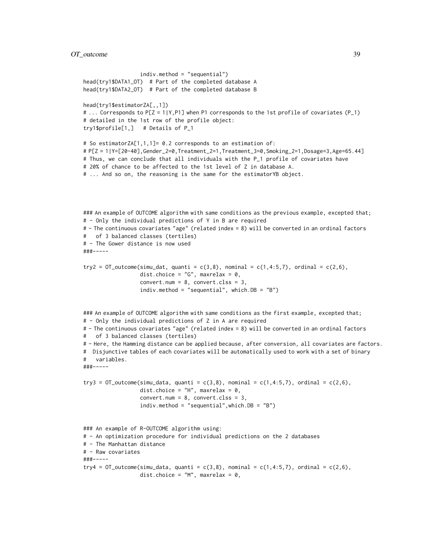# OT\_outcome 39

```
indiv.method = "sequential")
head(try1$DATA1_OT) # Part of the completed database A
head(try1$DATA2_OT) # Part of the completed database B
head(try1$estimatorZA[,,1])
# ... Corresponds to P[Z = 1|Y,P1] when P1 corresponds to the 1st profile of covariates (P_1)
# detailed in the 1st row of the profile object:
try1$profile[1,] # Details of P_1
# So estimatorZA[1,1,1]= 0.2 corresponds to an estimation of:
# P[Z = 1|Y=[20-40],Gender_2=0,Treatment_2=1,Treatment_3=0,Smoking_2=1,Dosage=3,Age=65.44]
# Thus, we can conclude that all individuals with the P_1 profile of covariates have
# 20% of chance to be affected to the 1st level of Z in database A.
# ... And so on, the reasoning is the same for the estimatorYB object.
### An example of OUTCOME algorithm with same conditions as the previous example, excepted that;
# - Only the individual predictions of Y in B are required
# - The continuous covariates "age" (related index = 8) will be converted in an ordinal factors
# of 3 balanced classes (tertiles)
# - The Gower distance is now used
###-----
try2 = OT_outcome(simu_dat, quanti = c(3,8), nominal = c(1,4:5,7), ordinal = c(2,6),
                  dist.choice = "G", maxrelax = 0,
                  convert.num = 8, convert.class = 3,
                  indiv.method = "sequential", which.DB = "B")
### An example of OUTCOME algorithm with same conditions as the first example, excepted that;
# - Only the individual predictions of Z in A are required
# - The continuous covariates "age" (related index = 8) will be converted in an ordinal factors
# of 3 balanced classes (tertiles)
# - Here, the Hamming distance can be applied because, after conversion, all covariates are factors.
# Disjunctive tables of each covariates will be automatically used to work with a set of binary
# variables.
###-----
try3 = OT_outcome(simu_data, quanti = c(3,8), nominal = c(1,4:5,7), ordinal = c(2,6),
                  dist.choice = "H", maxrelax = 0,
                  convert.num = 8, convert.clss = 3,
                  indiv.method = "sequential",which.DB = "B")
### An example of R-OUTCOME algorithm using:
# - An optimization procedure for individual predictions on the 2 databases
# - The Manhattan distance
# - Raw covariates
###-----
try4 = OT_outcome(simu_data, quanti = c(3,8), nominal = c(1,4:5,7), ordinal = c(2,6),
                  dist.choice = 'M'', maxrelax = 0,
```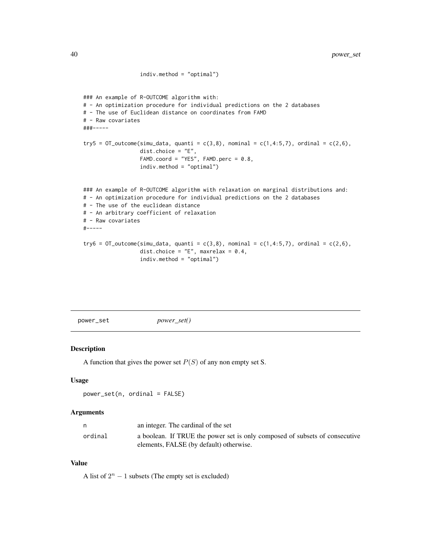```
indiv.method = "optimal")
### An example of R-OUTCOME algorithm with:
# - An optimization procedure for individual predictions on the 2 databases
# - The use of Euclidean distance on coordinates from FAMD
# - Raw covariates
###-----
try5 = OT_outcome(simu_data, quanti = c(3,8), nominal = c(1,4:5,7), ordinal = c(2,6),
                  dist.choice = "E",
                  FAMD.coord = "YES", FAMD.perc = 0.8,
                  indiv.method = "optimal")
### An example of R-OUTCOME algorithm with relaxation on marginal distributions and:
# - An optimization procedure for individual predictions on the 2 databases
# - The use of the euclidean distance
# - An arbitrary coefficient of relaxation
# - Raw covariates
#-----
try6 = OT_outcome(simu_data, quanti = c(3,8), nominal = c(1,4:5,7), ordinal = c(2,6),
                  dist.choice = "E", maxrelax = 0.4,
                  indiv.method = "optimal")
```

```
power_set power_set()
```
#### Description

A function that gives the power set  $P(S)$  of any non empty set S.

#### Usage

```
power_set(n, ordinal = FALSE)
```
#### Arguments

| n       | an integer. The cardinal of the set                                         |
|---------|-----------------------------------------------------------------------------|
| ordinal | a boolean. If TRUE the power set is only composed of subsets of consecutive |
|         | elements, FALSE (by default) otherwise.                                     |

# Value

A list of  $2^n - 1$  subsets (The empty set is excluded)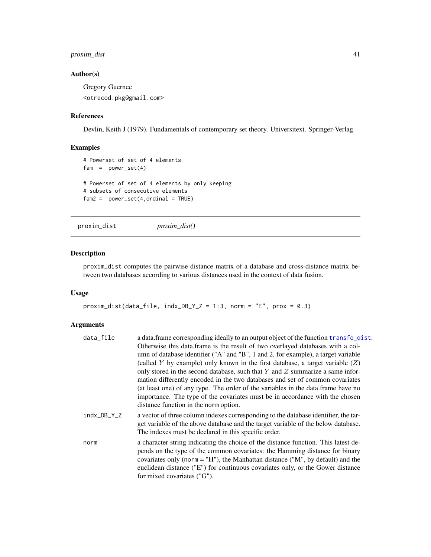# <span id="page-40-0"></span>proxim\_dist 41

# Author(s)

Gregory Guernec <otrecod.pkg@gmail.com>

# References

Devlin, Keith J (1979). Fundamentals of contemporary set theory. Universitext. Springer-Verlag

# Examples

```
# Powerset of set of 4 elements
fam = power_set(4)# Powerset of set of 4 elements by only keeping
# subsets of consecutive elements
fam2 = power_set(4, ordinal = TRUE)
```
<span id="page-40-1"></span>proxim\_dist *proxim\_dist()*

# Description

proxim\_dist computes the pairwise distance matrix of a database and cross-distance matrix between two databases according to various distances used in the context of data fusion.

#### Usage

```
proxim_dist(data_file, indx_DB_Y_Z = 1:3, norm = "E", prox = 0.3)
```
# Arguments

| data_file   | a data. frame corresponding ideally to an output object of the function transfo_dist.                                                                                                                                                                  |
|-------------|--------------------------------------------------------------------------------------------------------------------------------------------------------------------------------------------------------------------------------------------------------|
|             | Otherwise this data.frame is the result of two overlayed databases with a col-                                                                                                                                                                         |
|             | umn of database identifier ("A" and "B", 1 and 2, for example), a target variable                                                                                                                                                                      |
|             | (called Y by example) only known in the first database, a target variable $(Z)$                                                                                                                                                                        |
|             | only stored in the second database, such that $Y$ and $Z$ summarize a same infor-                                                                                                                                                                      |
|             | mation differently encoded in the two databases and set of common covariates                                                                                                                                                                           |
|             | (at least one) of any type. The order of the variables in the data. frame have no                                                                                                                                                                      |
|             | importance. The type of the covariates must be in accordance with the chosen                                                                                                                                                                           |
|             | distance function in the norm option.                                                                                                                                                                                                                  |
| indx_DB_Y_Z | a vector of three column indexes corresponding to the database identifier, the tar-<br>get variable of the above database and the target variable of the below database.<br>The indexes must be declared in this specific order.                       |
| norm        | a character string indicating the choice of the distance function. This latest de-<br>pends on the type of the common covariates: the Hamming distance for binary<br>covariates only (norm = $H''$ ), the Manhattan distance ("M", by default) and the |
|             | euclidean distance ("E") for continuous covariates only, or the Gower distance                                                                                                                                                                         |
|             | for mixed covariates ("G").                                                                                                                                                                                                                            |
|             |                                                                                                                                                                                                                                                        |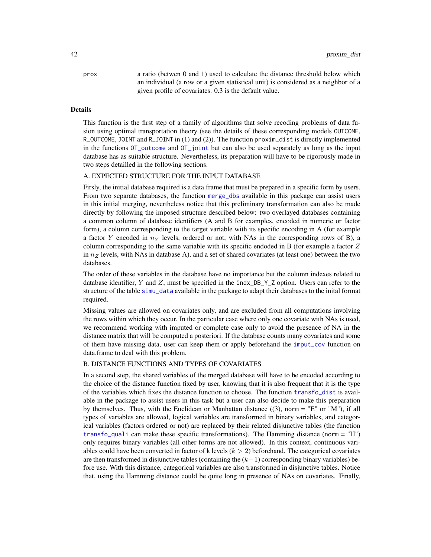<span id="page-41-0"></span>prox a ratio (betwen 0 and 1) used to calculate the distance threshold below which an individual (a row or a given statistical unit) is considered as a neighbor of a given profile of covariates. 0.3 is the default value.

#### Details

This function is the first step of a family of algorithms that solve recoding problems of data fusion using optimal transportation theory (see the details of these corresponding models OUTCOME, R\_OUTCOME, JOINT and R\_JOINT in (1) and (2)). The function proxim\_dist is directly implemented in the functions [OT\\_outcome](#page-32-1) and [OT\\_joint](#page-25-1) but can also be used separately as long as the input database has as suitable structure. Nevertheless, its preparation will have to be rigorously made in two steps detailled in the following sections.

# A. EXPECTED STRUCTURE FOR THE INPUT DATABASE

Firsly, the initial database required is a data.frame that must be prepared in a specific form by users. From two separate databases, the function [merge\\_dbs](#page-20-1) available in this package can assist users in this initial merging, nevertheless notice that this preliminary transformation can also be made directly by following the imposed structure described below: two overlayed databases containing a common column of database identifiers (A and B for examples, encoded in numeric or factor form), a column corresponding to the target variable with its specific encoding in A (for example a factor Y encoded in  $n<sub>Y</sub>$  levels, ordered or not, with NAs in the corresponding rows of B), a column corresponding to the same variable with its specific endoded in B (for example a factor  $Z$ in  $n<sub>Z</sub>$  levels, with NAs in database A), and a set of shared covariates (at least one) between the two databases.

The order of these variables in the database have no importance but the column indexes related to database identifier,  $Y$  and  $Z$ , must be specified in the indx\_DB\_Y\_Z option. Users can refer to the structure of the table [simu\\_data](#page-52-1) available in the package to adapt their databases to the inital format required.

Missing values are allowed on covariates only, and are excluded from all computations involving the rows within which they occur. In the particular case where only one covariate with NAs is used, we recommend working with imputed or complete case only to avoid the presence of NA in the distance matrix that will be computed a posteriori. If the database counts many covariates and some of them have missing data, user can keep them or apply beforehand the [imput\\_cov](#page-11-1) function on data.frame to deal with this problem.

#### B. DISTANCE FUNCTIONS AND TYPES OF COVARIATES

In a second step, the shared variables of the merged database will have to be encoded according to the choice of the distance function fixed by user, knowing that it is also frequent that it is the type of the variables which fixes the distance function to choose. The function [transfo\\_dist](#page-54-1) is available in the package to assist users in this task but a user can also decide to make this preparation by themselves. Thus, with the Euclidean or Manhattan distance  $((3)$ , norm = "E" or "M"), if all types of variables are allowed, logical variables are transformed in binary variables, and categorical variables (factors ordered or not) are replaced by their related disjunctive tables (the function [transfo\\_quali](#page-58-1) can make these specific transformations). The Hamming distance (norm = "H") only requires binary variables (all other forms are not allowed). In this context, continuous variables could have been converted in factor of k levels  $(k > 2)$  beforehand. The categorical covariates are then transformed in disjunctive tables (containing the  $(k-1)$  corresponding binary variables) before use. With this distance, categorical variables are also transformed in disjunctive tables. Notice that, using the Hamming distance could be quite long in presence of NAs on covariates. Finally,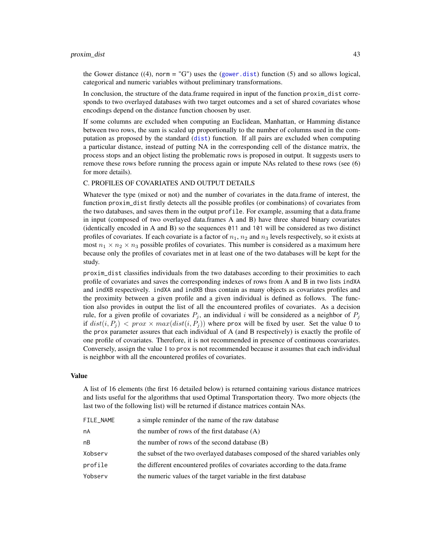#### <span id="page-42-0"></span>proxim\_dist 43

the Gower distance  $((4)$ , norm = "G") uses the ([gower.dist](#page-0-0)) function (5) and so allows logical, categorical and numeric variables without preliminary transformations.

In conclusion, the structure of the data.frame required in input of the function proxim\_dist corresponds to two overlayed databases with two target outcomes and a set of shared covariates whose encodings depend on the distance function choosen by user.

If some columns are excluded when computing an Euclidean, Manhattan, or Hamming distance between two rows, the sum is scaled up proportionally to the number of columns used in the computation as proposed by the standard ([dist](#page-0-0)) function. If all pairs are excluded when computing a particular distance, instead of putting NA in the corresponding cell of the distance matrix, the process stops and an object listing the problematic rows is proposed in output. It suggests users to remove these rows before running the process again or impute NAs related to these rows (see (6) for more details).

#### C. PROFILES OF COVARIATES AND OUTPUT DETAILS

Whatever the type (mixed or not) and the number of covariates in the data.frame of interest, the function proxim\_dist firstly detects all the possible profiles (or combinations) of covariates from the two databases, and saves them in the output profile. For example, assuming that a data.frame in input (composed of two overlayed data.frames A and B) have three shared binary covariates (identically encoded in A and B) so the sequences 011 and 101 will be considered as two distinct profiles of covariates. If each covariate is a factor of  $n_1$ ,  $n_2$  and  $n_3$  levels respectively, so it exists at most  $n_1 \times n_2 \times n_3$  possible profiles of covariates. This number is considered as a maximum here because only the profiles of covariates met in at least one of the two databases will be kept for the study.

proxim\_dist classifies individuals from the two databases according to their proximities to each profile of covariates and saves the corresponding indexes of rows from A and B in two lists indXA and indXB respectively. indXA and indXB thus contain as many objects as covariates profiles and the proximity between a given profile and a given individual is defined as follows. The function also provides in output the list of all the encountered profiles of covariates. As a decision rule, for a given profile of covariates  $P_j$ , an individual i will be considered as a neighbor of  $P_j$ if  $dist(i, P_j) < prox \times max(dist(i, P_j))$  where prox will be fixed by user. Set the value 0 to the prox parameter assures that each individual of A (and B respectively) is exactly the profile of one profile of covariates. Therefore, it is not recommended in presence of continuous coavariates. Conversely, assign the value 1 to prox is not recommended because it assumes that each individual is neighbor with all the encountered profiles of covariates.

# Value

A list of 16 elements (the first 16 detailed below) is returned containing various distance matrices and lists useful for the algorithms that used Optimal Transportation theory. Two more objects (the last two of the following list) will be returned if distance matrices contain NAs.

| FILE NAME | a simple reminder of the name of the raw database                               |
|-----------|---------------------------------------------------------------------------------|
| nA        | the number of rows of the first database $(A)$                                  |
| nВ        | the number of rows of the second database (B)                                   |
| Xobserv   | the subset of the two overlayed databases composed of the shared variables only |
| profile   | the different encountered profiles of covariates according to the data.frame    |
| Yobserv   | the numeric values of the target variable in the first database                 |
|           |                                                                                 |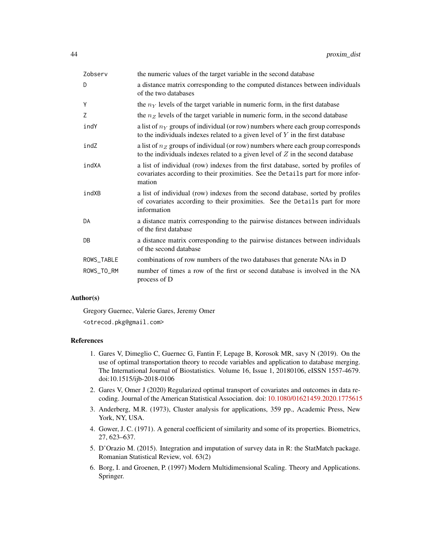| Zobserv    | the numeric values of the target variable in the second database                                                                                                               |
|------------|--------------------------------------------------------------------------------------------------------------------------------------------------------------------------------|
| D          | a distance matrix corresponding to the computed distances between individuals<br>of the two databases                                                                          |
| Y          | the $nY$ levels of the target variable in numeric form, in the first database                                                                                                  |
| Z          | the $nZ$ levels of the target variable in numeric form, in the second database                                                                                                 |
| indY       | a list of $n_Y$ groups of individual (or row) numbers where each group corresponds<br>to the individuals indexes related to a given level of $Y$ in the first database         |
| indZ       | a list of $nZ$ groups of individual (or row) numbers where each group corresponds<br>to the individuals indexes related to a given level of $Z$ in the second database         |
| indXA      | a list of individual (row) indexes from the first database, sorted by profiles of<br>covariates according to their proximities. See the Details part for more infor-<br>mation |
| indXB      | a list of individual (row) indexes from the second database, sorted by profiles<br>of covariates according to their proximities. See the Details part for more<br>information  |
| DA         | a distance matrix corresponding to the pairwise distances between individuals<br>of the first database                                                                         |
| DB         | a distance matrix corresponding to the pairwise distances between individuals<br>of the second database                                                                        |
| ROWS_TABLE | combinations of row numbers of the two databases that generate NAs in D                                                                                                        |
| ROWS_TO_RM | number of times a row of the first or second database is involved in the NA<br>process of D                                                                                    |
|            |                                                                                                                                                                                |

# Author(s)

Gregory Guernec, Valerie Gares, Jeremy Omer

<otrecod.pkg@gmail.com>

# References

- 1. Gares V, Dimeglio C, Guernec G, Fantin F, Lepage B, Korosok MR, savy N (2019). On the use of optimal transportation theory to recode variables and application to database merging. The International Journal of Biostatistics. Volume 16, Issue 1, 20180106, eISSN 1557-4679. doi:10.1515/ijb-2018-0106
- 2. Gares V, Omer J (2020) Regularized optimal transport of covariates and outcomes in data recoding. Journal of the American Statistical Association. doi: [10.1080/01621459.2020.1775615](https://doi.org/10.1080/01621459.2020.1775615)
- 3. Anderberg, M.R. (1973), Cluster analysis for applications, 359 pp., Academic Press, New York, NY, USA.
- 4. Gower, J. C. (1971). A general coefficient of similarity and some of its properties. Biometrics, 27, 623–637.
- 5. D'Orazio M. (2015). Integration and imputation of survey data in R: the StatMatch package. Romanian Statistical Review, vol. 63(2)
- 6. Borg, I. and Groenen, P. (1997) Modern Multidimensional Scaling. Theory and Applications. Springer.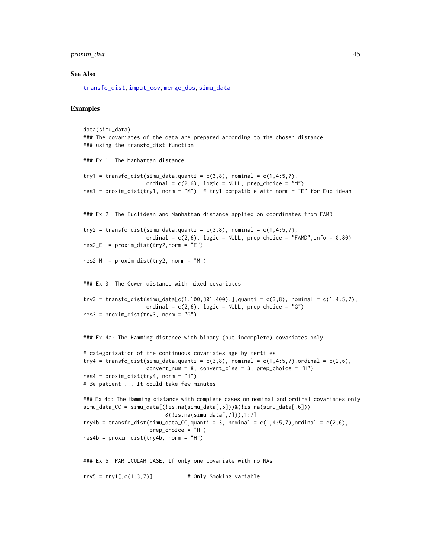# <span id="page-44-0"></span>proxim\_dist 45

#### See Also

[transfo\\_dist](#page-54-1), [imput\\_cov](#page-11-1), [merge\\_dbs](#page-20-1), [simu\\_data](#page-52-1)

#### Examples

```
data(simu_data)
### The covariates of the data are prepared according to the chosen distance
### using the transfo_dist function
### Ex 1: The Manhattan distance
try1 = transfo_dist(simu_data,quanti = c(3,8), nominal = c(1,4:5,7),
                    ordinal = c(2,6), logic = NULL, prep_choice = "M")
res1 = proxim_dist(try1, norm = "M") # try1 compatible with norm = "E" for Euclidean
### Ex 2: The Euclidean and Manhattan distance applied on coordinates from FAMD
try2 = transfo_dist(simu_data,quanti = c(3,8), nominal = c(1,4:5,7),
                    ordinal = c(2,6), logic = NULL, prep_choice = "FAMD", info = 0.80)
res2_E = proxim\_dist(try2, norm = "E")res2_M = proxim\_dist(try2, norm = "M")### Ex 3: The Gower distance with mixed covariates
try3 = transfo_dist(simu_data[c(1:100,301:400),],quanti = c(3,8), nominal = c(1,4:5,7),
                    ordinal = c(2,6), logic = NULL, prep_choice = "G")
res3 = proxim\_dist(try3, norm = "G")### Ex 4a: The Hamming distance with binary (but incomplete) covariates only
# categorization of the continuous covariates age by tertiles
try4 = transfo_dist(simu_data,quanti = c(3,8), nominal = c(1,4:5,7),ordinal = c(2,6),
                    convert\_num = 8, convert\_cls = 3, prep\_choice = "H")res4 = proxim\_dist(try4, norm = "H")# Be patient ... It could take few minutes
### Ex 4b: The Hamming distance with complete cases on nominal and ordinal covariates only
simu_data_CC = simu_data[(!is.na(simu_data[,5]))&(!is.na(simu_data[,6]))
                          &(!is.na(simu_data[,7])),1:7]
try4b = transfo_dist(simu_data_CC,quanti = 3, nominal = c(1,4:5,7),ordinal = c(2,6),
                     prep_choice = "H")
res4b = proxim_dist(try4b, norm = "H")
### Ex 5: PARTICULAR CASE, If only one covariate with no NAs
try5 = try1[, c(1:3,7)] # Only Smoking variable
```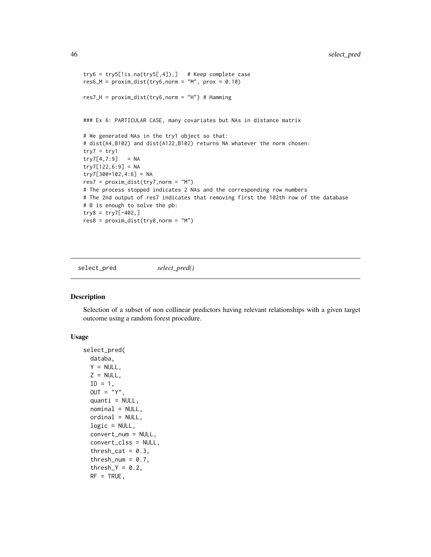```
try6 = try5[:is.na(try5[, 4]),] # Keep complete case
res6_M = proxim\_dist(try6, norm = "M", prox = 0.10)res7_H = proxim\_dist(try6, norm = "H") # Hamming
### Ex 6: PARTICULAR CASE, many covariates but NAs in distance matrix
# We generated NAs in the try1 object so that:
# dist(A4,B102) and dist(A122,B102) returns NA whatever the norm chosen:
try7 = try1try7[4,7:9] = NAtry7[122, 6:9] = NAtry7[300+102,4:6] = NA
res7 = proxim_dist(try7,norm = "M")
# The process stopped indicates 2 NAs and the corresponding row numbers
# The 2nd output of res7 indicates that removing first the 102th row of the database
# B is enough to solve the pb:
try8 = try7[-402,]
res8 = proxim_dist(try8,norm = "M")
```
<span id="page-45-1"></span>select\_pred *select\_pred()*

Description

Selection of a subset of non collinear predictors having relevant relationships with a given target outcome using a random forest procedure.

#### Usage

```
select_pred(
 databa,
 Y = NULL,Z = NULL,ID = 1,OUT = "Y",quanti = NULL,nominal = NULL,ordial = NULL,logic = NULL,
  convert_num = NULL,
  convert_clss = NULL,
  thresh_cat = 0.3,
  thresh_num = 0.7,
  thresh_Y = 0.2,
 RF = TRUE,
```
<span id="page-45-0"></span>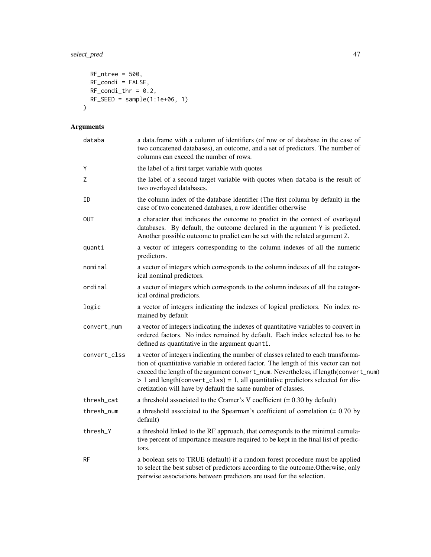```
RF_ntree = 500,
  RF_condi = FALSE,
 RF_{condi_{t}}thr = 0.2,
 RF\_SEED = sample(1:1e+06, 1)\mathcal{L}
```
# Arguments

| databa       | a data.frame with a column of identifiers (of row or of database in the case of<br>two concatened databases), an outcome, and a set of predictors. The number of<br>columns can exceed the number of rows.                                                                                                                                                                                                          |  |
|--------------|---------------------------------------------------------------------------------------------------------------------------------------------------------------------------------------------------------------------------------------------------------------------------------------------------------------------------------------------------------------------------------------------------------------------|--|
| Υ            | the label of a first target variable with quotes                                                                                                                                                                                                                                                                                                                                                                    |  |
| Ζ            | the label of a second target variable with quotes when databa is the result of<br>two overlayed databases.                                                                                                                                                                                                                                                                                                          |  |
| ΙD           | the column index of the database identifier (The first column by default) in the<br>case of two concatened databases, a row identifier otherwise                                                                                                                                                                                                                                                                    |  |
| OUT          | a character that indicates the outcome to predict in the context of overlayed<br>databases. By default, the outcome declared in the argument Y is predicted.<br>Another possible outcome to predict can be set with the related argument Z.                                                                                                                                                                         |  |
| quanti       | a vector of integers corresponding to the column indexes of all the numeric<br>predictors.                                                                                                                                                                                                                                                                                                                          |  |
| nominal      | a vector of integers which corresponds to the column indexes of all the categor-<br>ical nominal predictors.                                                                                                                                                                                                                                                                                                        |  |
| ordinal      | a vector of integers which corresponds to the column indexes of all the categor-<br>ical ordinal predictors.                                                                                                                                                                                                                                                                                                        |  |
| logic        | a vector of integers indicating the indexes of logical predictors. No index re-<br>mained by default                                                                                                                                                                                                                                                                                                                |  |
| convert_num  | a vector of integers indicating the indexes of quantitative variables to convert in<br>ordered factors. No index remained by default. Each index selected has to be<br>defined as quantitative in the argument quanti.                                                                                                                                                                                              |  |
| convert_clss | a vector of integers indicating the number of classes related to each transforma-<br>tion of quantitative variable in ordered factor. The length of this vector can not<br>exceed the length of the argument convert_num. Nevertheless, if length(convert_num)<br>$> 1$ and length(convert_clss) = 1, all quantitative predictors selected for dis-<br>cretization will have by default the same number of classes. |  |
| thresh_cat   | a threshold associated to the Cramer's V coefficient $(= 0.30$ by default)                                                                                                                                                                                                                                                                                                                                          |  |
| thresh_num   | a threshold associated to the Spearman's coefficient of correlation $(= 0.70 \text{ by }$<br>default)                                                                                                                                                                                                                                                                                                               |  |
| thresh_Y     | a threshold linked to the RF approach, that corresponds to the minimal cumula-<br>tive percent of importance measure required to be kept in the final list of predic-<br>tors.                                                                                                                                                                                                                                      |  |
| <b>RF</b>    | a boolean sets to TRUE (default) if a random forest procedure must be applied<br>to select the best subset of predictors according to the outcome. Otherwise, only<br>pairwise associations between predictors are used for the selection.                                                                                                                                                                          |  |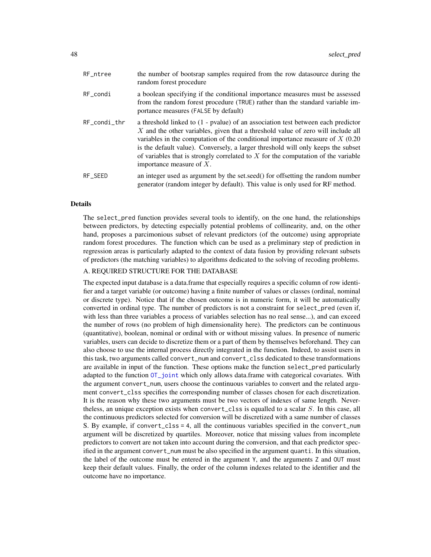<span id="page-47-0"></span>

| RF ntree           | the number of bootsrap samples required from the row datasource during the<br>random forest procedure                                                                                                                                                                                                                                                                                                                                                             |
|--------------------|-------------------------------------------------------------------------------------------------------------------------------------------------------------------------------------------------------------------------------------------------------------------------------------------------------------------------------------------------------------------------------------------------------------------------------------------------------------------|
| RF_condi           | a boolean specifying if the conditional importance measures must be assessed<br>from the random forest procedure (TRUE) rather than the standard variable im-<br>portance measures (FALSE by default)                                                                                                                                                                                                                                                             |
| $RF\_condi_{-}thr$ | a threshold linked to (1 - pvalue) of an association test between each predictor<br>X and the other variables, given that a threshold value of zero will include all<br>variables in the computation of the conditional importance measure of $X(0.20)$<br>is the default value). Conversely, a larger threshold will only keeps the subset<br>of variables that is strongly correlated to $X$ for the computation of the variable<br>importance measure of $X$ . |
| RF SEED            | an integer used as argument by the set.seed() for offsetting the random number<br>generator (random integer by default). This value is only used for RF method.                                                                                                                                                                                                                                                                                                   |

#### Details

The select\_pred function provides several tools to identify, on the one hand, the relationships between predictors, by detecting especially potential problems of collinearity, and, on the other hand, proposes a parcimonious subset of relevant predictors (of the outcome) using appropriate random forest procedures. The function which can be used as a preliminary step of prediction in regression areas is particularly adapted to the context of data fusion by providing relevant subsets of predictors (the matching variables) to algorithms dedicated to the solving of recoding problems.

# A. REQUIRED STRUCTURE FOR THE DATABASE

The expected input database is a data.frame that especially requires a specific column of row identifier and a target variable (or outcome) having a finite number of values or classes (ordinal, nominal or discrete type). Notice that if the chosen outcome is in numeric form, it will be automatically converted in ordinal type. The number of predictors is not a constraint for select\_pred (even if, with less than three variables a process of variables selection has no real sense...), and can exceed the number of rows (no problem of high dimensionality here). The predictors can be continuous (quantitative), boolean, nominal or ordinal with or without missing values. In presence of numeric variables, users can decide to discretize them or a part of them by themselves beforehand. They can also choose to use the internal process directly integrated in the function. Indeed, to assist users in this task, two arguments called convert\_num and convert\_clss dedicated to these transformations are available in input of the function. These options make the function select\_pred particularly adapted to the function [OT\\_joint](#page-25-1) which only allows data.frame with categorical covariates. With the argument convert\_num, users choose the continuous variables to convert and the related argument convert\_clss specifies the corresponding number of classes chosen for each discretization. It is the reason why these two arguments must be two vectors of indexes of same length. Neverthe less, an unique exception exists when convert\_clss is equalled to a scalar  $S$ . In this case, all the continuous predictors selected for conversion will be discretized with a same number of classes S. By example, if convert\_clss = 4, all the continuous variables specified in the convert\_num argument will be discretized by quartiles. Moreover, notice that missing values from incomplete predictors to convert are not taken into account during the conversion, and that each predictor specified in the argument convert\_num must be also specified in the argument quanti. In this situation, the label of the outcome must be entered in the argument Y, and the arguments Z and OUT must keep their default values. Finally, the order of the column indexes related to the identifier and the outcome have no importance.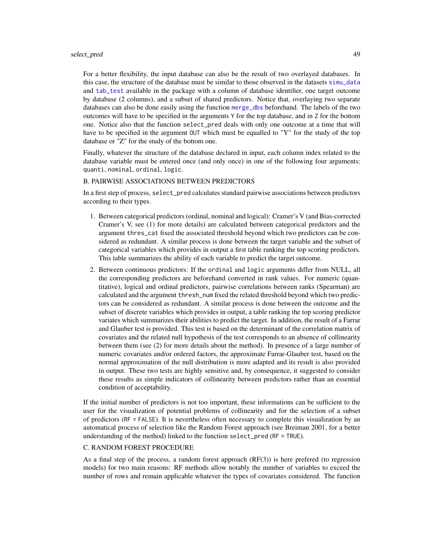#### <span id="page-48-0"></span>select\_pred 49

For a better flexibility, the input database can also be the result of two overlayed databases. In this case, the structure of the database must be similar to those observed in the datasets [simu\\_data](#page-52-1) and [tab\\_test](#page-53-1) available in the package with a column of database identifier, one target outcome by database (2 columns), and a subset of shared predictors. Notice that, overlaying two separate databases can also be done easily using the function [merge\\_dbs](#page-20-1) beforehand. The labels of the two outcomes will have to be specified in the arguments Y for the top database, and in Z for the bottom one. Notice also that the function select\_pred deals with only one outcome at a time that will have to be specified in the argument OUT which must be equalled to "Y" for the study of the top database or "Z" for the study of the bottom one.

Finally, whatever the structure of the database declared in input, each column index related to the database variable must be entered once (and only once) in one of the following four arguments: quanti, nominal, ordinal, logic.

#### B. PAIRWISE ASSOCIATIONS BETWEEN PREDICTORS

In a first step of process, select\_pred calculates standard pairwise associations between predictors according to their types.

- 1. Between categorical predictors (ordinal, nominal and logical): Cramer's V (and Bias-corrected Cramer's V, see (1) for more details) are calculated between categorical predictors and the argument thres\_cat fixed the associated threshold beyond which two predictors can be considered as redundant. A similar process is done between the target variable and the subset of categorical variables which provides in output a first table ranking the top scoring predictors. This table summarizes the ability of each variable to predict the target outcome.
- 2. Between continuous predictors: If the ordinal and logic arguments differ from NULL, all the corresponding predictors are beforehand converted in rank values. For numeric (quantitative), logical and ordinal predictors, pairwise correlations between ranks (Spearman) are calculated and the argument thresh\_num fixed the related threshold beyond which two predictors can be considered as redundant. A similar process is done between the outcome and the subset of discrete variables which provides in output, a table ranking the top scoring predictor variates which summarizes their abilities to predict the target. In addition, the result of a Farrar and Glauber test is provided. This test is based on the determinant of the correlation matrix of covariates and the related null hypothesis of the test corresponds to an absence of collinearity between them (see (2) for more details about the method). In presence of a large number of numeric covariates and/or ordered factors, the approximate Farrar-Glauber test, based on the normal approximation of the null distribution is more adapted and its result is also provided in output. These two tests are highly sensitive and, by consequence, it suggested to consider these results as simple indicators of collinearity between predictors rather than an essential condition of acceptability.

If the initial number of predictors is not too important, these informations can be sufficient to the user for the visualization of potential problems of collinearity and for the selection of a subset of predictors (RF = FALSE). It is nevertheless often necessary to complete this visualization by an automatical process of selection like the Random Forest approach (see Breiman 2001, for a better understanding of the method) linked to the function select\_pred (RF = TRUE).

#### C. RANDOM FOREST PROCEDURE

As a final step of the process, a random forest approach  $(RF(3))$  is here prefered (to regression models) for two main reasons: RF methods allow notably the number of variables to exceed the number of rows and remain applicable whatever the types of covariates considered. The function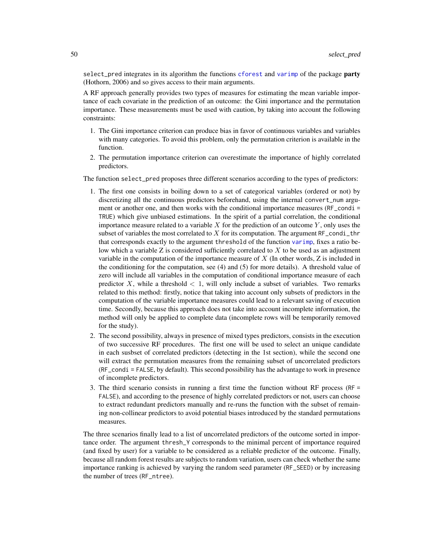<span id="page-49-0"></span>select\_pred integrates in its algorithm the functions [cforest](#page-0-0) and [varimp](#page-0-0) of the package party (Hothorn, 2006) and so gives access to their main arguments.

A RF approach generally provides two types of measures for estimating the mean variable importance of each covariate in the prediction of an outcome: the Gini importance and the permutation importance. These measurements must be used with caution, by taking into account the following constraints:

- 1. The Gini importance criterion can produce bias in favor of continuous variables and variables with many categories. To avoid this problem, only the permutation criterion is available in the function.
- 2. The permutation importance criterion can overestimate the importance of highly correlated predictors.

The function select\_pred proposes three different scenarios according to the types of predictors:

- 1. The first one consists in boiling down to a set of categorical variables (ordered or not) by discretizing all the continuous predictors beforehand, using the internal convert\_num argument or another one, and then works with the conditional importance measures (RF\_condi = TRUE) which give unbiased estimations. In the spirit of a partial correlation, the conditional importance measure related to a variable  $X$  for the prediction of an outcome  $Y$ , only uses the subset of variables the most correlated to X for its computation. The argument  $RF_{\text{cond}_\text{t}}$ thr that corresponds exactly to the argument threshold of the function [varimp](#page-0-0), fixes a ratio below which a variable Z is considered sufficiently correlated to  $X$  to be used as an adjustment variable in the computation of the importance measure of  $X$  (In other words,  $Z$  is included in the conditioning for the computation, see  $(4)$  and  $(5)$  for more details). A threshold value of zero will include all variables in the computation of conditional importance measure of each predictor X, while a threshold  $\lt 1$ , will only include a subset of variables. Two remarks related to this method: firstly, notice that taking into account only subsets of predictors in the computation of the variable importance measures could lead to a relevant saving of execution time. Secondly, because this approach does not take into account incomplete information, the method will only be applied to complete data (incomplete rows will be temporarily removed for the study).
- 2. The second possibility, always in presence of mixed types predictors, consists in the execution of two successive RF procedures. The first one will be used to select an unique candidate in each susbset of correlated predictors (detecting in the 1st section), while the second one will extract the permutation measures from the remaining subset of uncorrelated predictors (RF\_condi = FALSE, by default). This second possibility has the advantage to work in presence of incomplete predictors.
- 3. The third scenario consists in running a first time the function without RF process (RF = FALSE), and according to the presence of highly correlated predictors or not, users can choose to extract redundant predictors manually and re-runs the function with the subset of remaining non-collinear predictors to avoid potential biases introduced by the standard permutations measures.

The three scenarios finally lead to a list of uncorrelated predictors of the outcome sorted in importance order. The argument thresh\_Y corresponds to the minimal percent of importance required (and fixed by user) for a variable to be considered as a reliable predictor of the outcome. Finally, because all random forest results are subjects to random variation, users can check whether the same importance ranking is achieved by varying the random seed parameter (RF\_SEED) or by increasing the number of trees (RF\_ntree).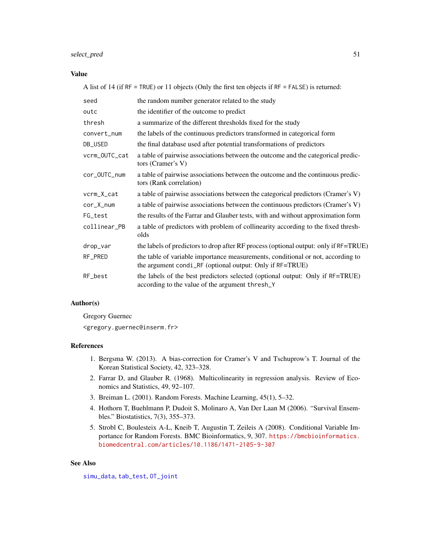# <span id="page-50-0"></span>select\_pred 51

#### Value

A list of 14 (if RF = TRUE) or 11 objects (Only the first ten objects if RF = FALSE) is returned:

| seed          | the random number generator related to the study                                                                                            |
|---------------|---------------------------------------------------------------------------------------------------------------------------------------------|
| outc          | the identifier of the outcome to predict                                                                                                    |
| thresh        | a summarize of the different thresholds fixed for the study                                                                                 |
| convert_num   | the labels of the continuous predictors transformed in categorical form                                                                     |
| DB_USED       | the final database used after potential transformations of predictors                                                                       |
| vcrm_OUTC_cat | a table of pairwise associations between the outcome and the categorical predic-<br>tors (Cramer's V)                                       |
| cor_OUTC_num  | a table of pairwise associations between the outcome and the continuous predic-<br>tors (Rank correlation)                                  |
| vcrm_X_cat    | a table of pairwise associations between the categorical predictors (Cramer's V)                                                            |
| $cor_X_{num}$ | a table of pairwise associations between the continuous predictors (Cramer's V)                                                             |
| FG_test       | the results of the Farrar and Glauber tests, with and without approximation form                                                            |
| collinear_PB  | a table of predictors with problem of collinearity according to the fixed thresh-<br>olds                                                   |
| drop_var      | the labels of predictors to drop after RF process (optional output: only if RF=TRUE)                                                        |
| RF_PRED       | the table of variable importance measurements, conditional or not, according to<br>the argument condi_RF (optional output: Only if RF=TRUE) |
| RF_best       | the labels of the best predictors selected (optional output: Only if RF=TRUE)<br>according to the value of the argument thresh_Y            |

# Author(s)

Gregory Guernec

<gregory.guernec@inserm.fr>

#### References

- 1. Bergsma W. (2013). A bias-correction for Cramer's V and Tschuprow's T. Journal of the Korean Statistical Society, 42, 323–328.
- 2. Farrar D, and Glauber R. (1968). Multicolinearity in regression analysis. Review of Economics and Statistics, 49, 92–107.
- 3. Breiman L. (2001). Random Forests. Machine Learning, 45(1), 5–32.
- 4. Hothorn T, Buehlmann P, Dudoit S, Molinaro A, Van Der Laan M (2006). "Survival Ensembles." Biostatistics, 7(3), 355–373.
- 5. Strobl C, Boulesteix A-L, Kneib T, Augustin T, Zeileis A (2008). Conditional Variable Importance for Random Forests. BMC Bioinformatics, 9, 307. [https://bmcbioinformatics.](https://bmcbioinformatics.biomedcentral.com/articles/10.1186/1471-2105-9-307) [biomedcentral.com/articles/10.1186/1471-2105-9-307](https://bmcbioinformatics.biomedcentral.com/articles/10.1186/1471-2105-9-307)

# See Also

[simu\\_data](#page-52-1), [tab\\_test](#page-53-1), [OT\\_joint](#page-25-1)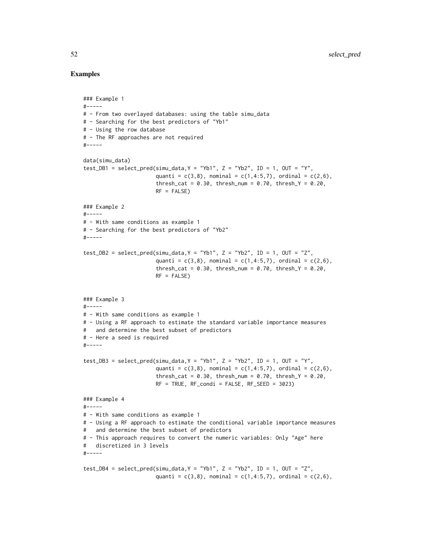## Examples

```
### Example 1
#-----
# - From two overlayed databases: using the table simu_data
# - Searching for the best predictors of "Yb1"
# - Using the row database
# - The RF approaches are not required
#-----
data(simu_data)
test_DB1 = select_pred(simu_data,Y = "Yb1", Z = "Yb2", ID = 1, OUT = "Y",quanti = c(3,8), nominal = c(1,4:5,7), ordinal = c(2,6),
                       thresh_cat = 0.30, thresh_num = 0.70, thresh_Y = 0.20,
                       RF = FALSE### Example 2
#-----
# - With same conditions as example 1
# - Searching for the best predictors of "Yb2"
#-----
test_DB2 = select_pred(simu_data, Y = "Yb1", Z = "Yb2", ID = 1, OUT = "Z",quanti = c(3,8), nominal = c(1,4:5,7), ordinal = c(2,6),
                       thresh_cat = 0.30, thresh_num = 0.70, thresh_Y = 0.20,
                       RF = FALSE)### Example 3
#-----
# - With same conditions as example 1
# - Using a RF approach to estimate the standard variable importance measures
# and determine the best subset of predictors
# - Here a seed is required
#-----
test_DB3 = select_pred(simu_data,Y = "Yb1", Z = "Yb2", ID = 1, OUT = "Y",quanti = c(3,8), nominal = c(1,4:5,7), ordinal = c(2,6),
                       thresh_cat = 0.30, thresh_num = 0.70, thresh_Y = 0.20,
                       RF = TRUE, RF\_condi = FALSE, RF\_SEED = 3023)
### Example 4
#-----
# - With same conditions as example 1
# - Using a RF approach to estimate the conditional variable importance measures
# and determine the best subset of predictors
# - This approach requires to convert the numeric variables: Only "Age" here
# discretized in 3 levels
#-----
test_DB4 = select_pred(simu_data, Y = "Yb1", Z = "Yb2", ID = 1, OUT = "Z",quanti = c(3,8), nominal = c(1,4:5,7), ordinal = c(2,6),
```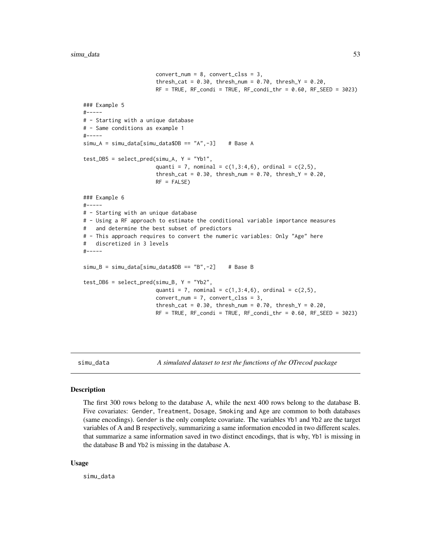```
convert\_num = 8, convert\_cls = 3,
                       thresh_cat = 0.30, thresh_num = 0.70, thresh_Y = 0.20,
                       RF = TRUE, RF\_condi = TRUE, RF\_condi_thr = 0.60, RF\_SEED = 3023)### Example 5
#-----# - Starting with a unique database
# - Same conditions as example 1
#-----
sim_A = simu_data[simu_data$DB == "A", -3] # Base A
test_DB5 = select_pred(simu_A, Y = "Yb1",
                       quanti = 7, nominal = c(1,3:4,6), ordinal = c(2,5),
                       thresh_cat = 0.30, thresh_num = 0.70, thresh_Y = 0.20,
                       RF = FALSE)### Example 6
#-----
# - Starting with an unique database
# - Using a RF approach to estimate the conditional variable importance measures
# and determine the best subset of predictors
# - This approach requires to convert the numeric variables: Only "Age" here
# discretized in 3 levels
#-----
sim_B = simu_data[simu_data$DB == "B", -2] # Base Btest_DB6 = select_pred(simu_B, Y = "Yb2",
                       quanti = 7, nominal = c(1,3:4,6), ordinal = c(2,5),
                       convert_num = 7, convert_clss = 3,
                       thresh_cat = 0.30, thresh_num = 0.70, thresh_Y = 0.20,
                       RF = TRUE, RF\_condi = TRUE, RF\_condi_thr = 0.60, RF\_SEED = 3023)
```
simu\_data *A simulated dataset to test the functions of the OTrecod package*

#### Description

The first 300 rows belong to the database A, while the next 400 rows belong to the database B. Five covariates: Gender, Treatment, Dosage, Smoking and Age are common to both databases (same encodings). Gender is the only complete covariate. The variables Yb1 and Yb2 are the target variables of A and B respectively, summarizing a same information encoded in two different scales. that summarize a same information saved in two distinct encodings, that is why, Yb1 is missing in the database B and Yb2 is missing in the database A.

#### Usage

simu\_data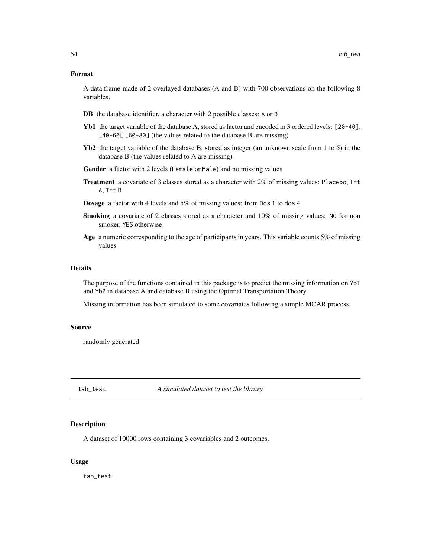#### <span id="page-53-0"></span>Format

A data.frame made of 2 overlayed databases (A and B) with 700 observations on the following 8 variables.

- DB the database identifier, a character with 2 possible classes: A or B
- Yb1 the target variable of the database A, stored as factor and encoded in 3 ordered levels: [20-40], [40-60[,[60-80] (the values related to the database B are missing)
- Yb2 the target variable of the database B, stored as integer (an unknown scale from 1 to 5) in the database B (the values related to A are missing)
- Gender a factor with 2 levels (Female or Male) and no missing values
- Treatment a covariate of 3 classes stored as a character with 2% of missing values: Placebo, Trt A, Trt B
- Dosage a factor with 4 levels and 5% of missing values: from Dos 1 to dos 4
- Smoking a covariate of 2 classes stored as a character and  $10\%$  of missing values: NO for non smoker, YES otherwise
- Age a numeric corresponding to the age of participants in years. This variable counts 5% of missing values

#### Details

The purpose of the functions contained in this package is to predict the missing information on Yb1 and Yb2 in database A and database B using the Optimal Transportation Theory.

Missing information has been simulated to some covariates following a simple MCAR process.

#### Source

randomly generated

<span id="page-53-1"></span>tab\_test *A simulated dataset to test the library*

#### Description

A dataset of 10000 rows containing 3 covariables and 2 outcomes.

#### Usage

tab\_test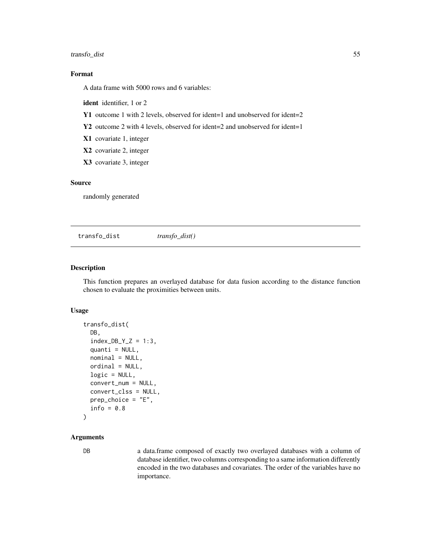# <span id="page-54-0"></span>transfo\_dist 55

# Format

A data frame with 5000 rows and 6 variables:

ident identifier, 1 or 2

Y1 outcome 1 with 2 levels, observed for ident=1 and unobserved for ident=2

Y2 outcome 2 with 4 levels, observed for ident=2 and unobserved for ident=1

X1 covariate 1, integer

X2 covariate 2, integer

X3 covariate 3, integer

# Source

randomly generated

<span id="page-54-1"></span>transfo\_dist *transfo\_dist()*

# Description

This function prepares an overlayed database for data fusion according to the distance function chosen to evaluate the proximities between units.

# Usage

```
transfo_dist(
 DB,
  index_DB_Y_Z = 1:3,
  quanti = NULL,nominal = NULL,ordinal = NULL,
  logic = NULL,
  convert_num = NULL,
  convert_clss = NULL,
 prep_choice = "E",
  info = 0.8)
```
# Arguments

DB a data.frame composed of exactly two overlayed databases with a column of database identifier, two columns corresponding to a same information differently encoded in the two databases and covariates. The order of the variables have no importance.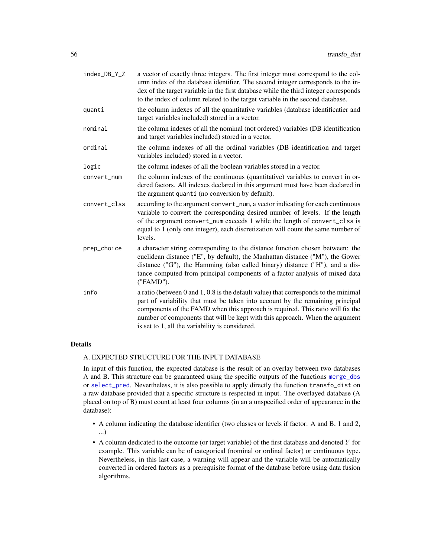<span id="page-55-0"></span>

| index_DB_Y_Z | a vector of exactly three integers. The first integer must correspond to the col-<br>umn index of the database identifier. The second integer corresponds to the in-<br>dex of the target variable in the first database while the third integer corresponds<br>to the index of column related to the target variable in the second database.                                                  |
|--------------|------------------------------------------------------------------------------------------------------------------------------------------------------------------------------------------------------------------------------------------------------------------------------------------------------------------------------------------------------------------------------------------------|
| quanti       | the column indexes of all the quantitative variables (database identificatier and<br>target variables included) stored in a vector.                                                                                                                                                                                                                                                            |
| nominal      | the column indexes of all the nominal (not ordered) variables (DB identification<br>and target variables included) stored in a vector.                                                                                                                                                                                                                                                         |
| ordinal      | the column indexes of all the ordinal variables (DB identification and target<br>variables included) stored in a vector.                                                                                                                                                                                                                                                                       |
| logic        | the column indexes of all the boolean variables stored in a vector.                                                                                                                                                                                                                                                                                                                            |
| convert_num  | the column indexes of the continuous (quantitative) variables to convert in or-<br>dered factors. All indexes declared in this argument must have been declared in<br>the argument quanti (no conversion by default).                                                                                                                                                                          |
| convert_clss | according to the argument convert_num, a vector indicating for each continuous<br>variable to convert the corresponding desired number of levels. If the length<br>of the argument convert_num exceeds 1 while the length of convert_clss is<br>equal to 1 (only one integer), each discretization will count the same number of<br>levels.                                                    |
| prep_choice  | a character string corresponding to the distance function chosen between: the<br>euclidean distance ("E", by default), the Manhattan distance ("M"), the Gower<br>distance ("G"), the Hamming (also called binary) distance ("H"), and a dis-<br>tance computed from principal components of a factor analysis of mixed data<br>("FAMD").                                                      |
| info         | a ratio (between $0$ and $1, 0.8$ is the default value) that corresponds to the minimal<br>part of variability that must be taken into account by the remaining principal<br>components of the FAMD when this approach is required. This ratio will fix the<br>number of components that will be kept with this approach. When the argument<br>is set to 1, all the variability is considered. |

# Details

# A. EXPECTED STRUCTURE FOR THE INPUT DATABASE

In input of this function, the expected database is the result of an overlay between two databases A and B. This structure can be guaranteed using the specific outputs of the functions [merge\\_dbs](#page-20-1) or [select\\_pred](#page-45-1). Nevertheless, it is also possible to apply directly the function transfo\_dist on a raw database provided that a specific structure is respected in input. The overlayed database (A placed on top of B) must count at least four columns (in an a unspecified order of appearance in the database):

- A column indicating the database identifier (two classes or levels if factor: A and B, 1 and 2, ...)
- A column dedicated to the outcome (or target variable) of the first database and denoted Y for example. This variable can be of categorical (nominal or ordinal factor) or continuous type. Nevertheless, in this last case, a warning will appear and the variable will be automatically converted in ordered factors as a prerequisite format of the database before using data fusion algorithms.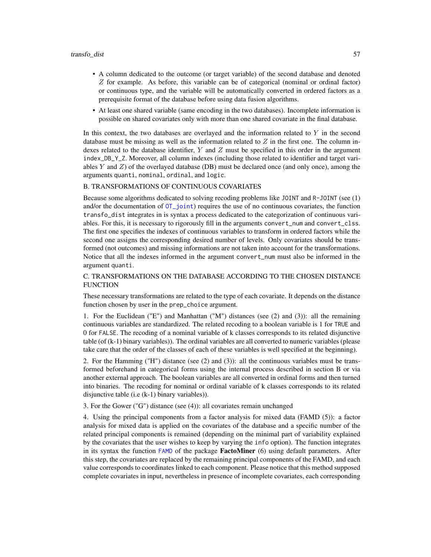#### <span id="page-56-0"></span>transfo\_dist 57

- A column dedicated to the outcome (or target variable) of the second database and denoted  $Z$  for example. As before, this variable can be of categorical (nominal or ordinal factor) or continuous type, and the variable will be automatically converted in ordered factors as a prerequisite format of the database before using data fusion algorithms.
- At least one shared variable (same encoding in the two databases). Incomplete information is possible on shared covariates only with more than one shared covariate in the final database.

In this context, the two databases are overlayed and the information related to  $Y$  in the second database must be missing as well as the information related to  $Z$  in the first one. The column indexes related to the database identifier,  $Y$  and  $Z$  must be specified in this order in the argument index\_DB\_Y\_Z. Moreover, all column indexes (including those related to identifier and target variables Y and  $Z$ ) of the overlayed database (DB) must be declared once (and only once), among the arguments quanti, nominal, ordinal, and logic.

# B. TRANSFORMATIONS OF CONTINUOUS COVARIATES

Because some algorithms dedicated to solving recoding problems like JOINT and R-JOINT (see (1) and/or the documentation of [OT\\_joint](#page-25-1)) requires the use of no continuous covariates, the function transfo\_dist integrates in is syntax a process dedicated to the categorization of continuous variables. For this, it is necessary to rigorously fill in the arguments convert\_num and convert\_clss. The first one specifies the indexes of continuous variables to transform in ordered factors while the second one assigns the corresponding desired number of levels. Only covariates should be transformed (not outcomes) and missing informations are not taken into account for the transformations. Notice that all the indexes informed in the argument convert\_num must also be informed in the argument quanti.

# C. TRANSFORMATIONS ON THE DATABASE ACCORDING TO THE CHOSEN DISTANCE **FUNCTION**

These necessary transformations are related to the type of each covariate. It depends on the distance function chosen by user in the prep\_choice argument.

1. For the Euclidean ("E") and Manhattan ("M") distances (see (2) and (3)): all the remaining continuous variables are standardized. The related recoding to a boolean variable is 1 for TRUE and 0 for FALSE. The recoding of a nominal variable of k classes corresponds to its related disjunctive table (of (k-1) binary variables)). The ordinal variables are all converted to numeric variables (please take care that the order of the classes of each of these variables is well specified at the beginning).

2. For the Hamming ("H") distance (see (2) and (3)): all the continuous variables must be transformed beforehand in categorical forms using the internal process described in section B or via another external approach. The boolean variables are all converted in ordinal forms and then turned into binaries. The recoding for nominal or ordinal variable of k classes corresponds to its related disjunctive table (i.e (k-1) binary variables)).

3. For the Gower ("G") distance (see (4)): all covariates remain unchanged

4. Using the principal components from a factor analysis for mixed data (FAMD (5)): a factor analysis for mixed data is applied on the covariates of the database and a specific number of the related principal components is remained (depending on the minimal part of variability explained by the covariates that the user wishes to keep by varying the info option). The function integrates in its syntax the function  $FAMD$  of the package **FactoMiner** (6) using default parameters. After this step, the covariates are replaced by the remaining principal components of the FAMD, and each value corresponds to coordinates linked to each component. Please notice that this method supposed complete covariates in input, nevertheless in presence of incomplete covariates, each corresponding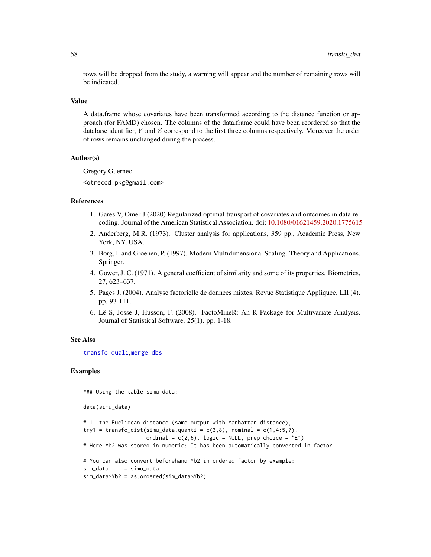rows will be dropped from the study, a warning will appear and the number of remaining rows will be indicated.

#### Value

A data.frame whose covariates have been transformed according to the distance function or approach (for FAMD) chosen. The columns of the data.frame could have been reordered so that the database identifier, Y and Z correspond to the first three columns respectively. Moreover the order of rows remains unchanged during the process.

# Author(s)

Gregory Guernec <otrecod.pkg@gmail.com>

# References

- 1. Gares V, Omer J (2020) Regularized optimal transport of covariates and outcomes in data recoding. Journal of the American Statistical Association. doi: [10.1080/01621459.2020.1775615](https://doi.org/10.1080/01621459.2020.1775615)
- 2. Anderberg, M.R. (1973). Cluster analysis for applications, 359 pp., Academic Press, New York, NY, USA.
- 3. Borg, I. and Groenen, P. (1997). Modern Multidimensional Scaling. Theory and Applications. Springer.
- 4. Gower, J. C. (1971). A general coefficient of similarity and some of its properties. Biometrics, 27, 623–637.
- 5. Pages J. (2004). Analyse factorielle de donnees mixtes. Revue Statistique Appliquee. LII (4). pp. 93-111.
- 6. Lê S, Josse J, Husson, F. (2008). FactoMineR: An R Package for Multivariate Analysis. Journal of Statistical Software. 25(1). pp. 1-18.

#### See Also

[transfo\\_quali](#page-58-1),[merge\\_dbs](#page-20-1)

#### Examples

```
### Using the table simu_data:
```
data(simu\_data)

```
# 1. the Euclidean distance (same output with Manhattan distance),
try1 = transfo_dist(simu_data,quanti = c(3,8), nominal = c(1,4:5,7),
                    ordinal = c(2,6), logic = NULL, prep_choice = "E")
# Here Yb2 was stored in numeric: It has been automatically converted in factor
# You can also convert beforehand Yb2 in ordered factor by example:
sim_data = simu_data
sim_data$Yb2 = as.ordered(sim_data$Yb2)
```
<span id="page-57-0"></span>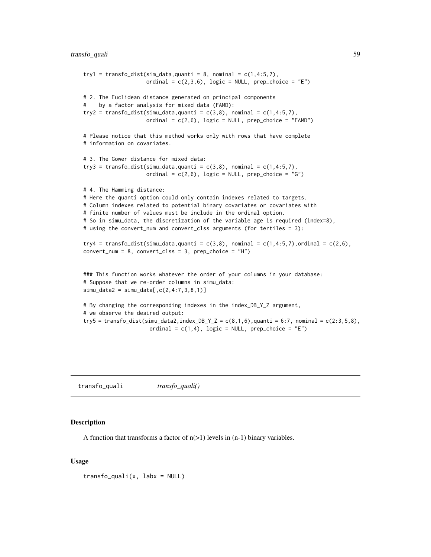# <span id="page-58-0"></span>transfo\_quali 59

```
try1 = transfo_dist(sim_data,quanti = 8, nominal = c(1,4:5,7),
                    ordinal = c(2,3,6), logic = NULL, prep_choice = "E")
# 2. The Euclidean distance generated on principal components
# by a factor analysis for mixed data (FAMD):
try2 = transform\_dist(simu_data,quanti = c(3,8), nominal = c(1,4:5,7),ordinal = c(2,6), logic = NULL, prep_choice = "FAMD")
# Please notice that this method works only with rows that have complete
# information on covariates.
# 3. The Gower distance for mixed data:
try3 = transfo_dist(simu_data,quanti = c(3,8), nominal = c(1,4:5,7),
                    ordinal = c(2,6), logic = NULL, prep_choice = "G")
# 4. The Hamming distance:
# Here the quanti option could only contain indexes related to targets.
# Column indexes related to potential binary covariates or covariates with
# finite number of values must be include in the ordinal option.
# So in simu_data, the discretization of the variable age is required (index=8),
# using the convert_num and convert_clss arguments (for tertiles = 3):
try4 = transfo_dist(simu_data,quanti = c(3,8), nominal = c(1,4:5,7),ordinal = c(2,6),
convert\_num = 8, convert\_cls = 3, prep\_choice = "H")### This function works whatever the order of your columns in your database:
# Suppose that we re-order columns in simu_data:
sim\_data2 = sim\_data[, c(2, 4:7, 3, 8, 1)]# By changing the corresponding indexes in the index_DB_Y_Z argument,
# we observe the desired output:
try5 = transfo_dist(simu_data2,index_DB_Y_Z = c(8,1,6),quanti = 6:7, nominal = c(2:3,5,8),
                     ordinal = c(1,4), logic = NULL, prep_choice = "E")
```
<span id="page-58-1"></span>transfo\_quali *transfo\_quali()*

#### Description

A function that transforms a factor of  $n(>1)$  levels in  $(n-1)$  binary variables.

#### Usage

 $transfo_quali(x, labx = NULL)$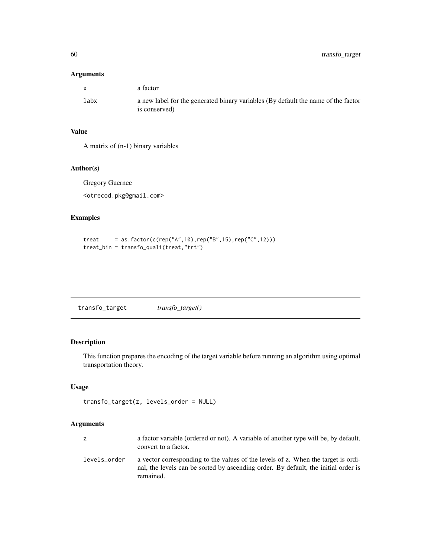# <span id="page-59-0"></span>Arguments

| $\mathbf{x}$ | a factor                                                                          |
|--------------|-----------------------------------------------------------------------------------|
| labx         | a new label for the generated binary variables (By default the name of the factor |
|              | is conserved)                                                                     |

# Value

A matrix of (n-1) binary variables

#### Author(s)

Gregory Guernec

<otrecod.pkg@gmail.com>

# Examples

```
treat = as.factor(c(rep("A",10),rep("B",15),rep("C",12)))
treat_bin = transfo_quali(treat,"trt")
```
<span id="page-59-1"></span>

| transfo_target() |
|------------------|
|                  |

# Description

This function prepares the encoding of the target variable before running an algorithm using optimal transportation theory.

# Usage

```
transfo_target(z, levels_order = NULL)
```
# Arguments

| z            | a factor variable (ordered or not). A variable of another type will be, by default,<br>convert to a factor.                                                                          |
|--------------|--------------------------------------------------------------------------------------------------------------------------------------------------------------------------------------|
| levels_order | a vector corresponding to the values of the levels of z. When the target is ordi-<br>nal, the levels can be sorted by ascending order. By default, the initial order is<br>remained. |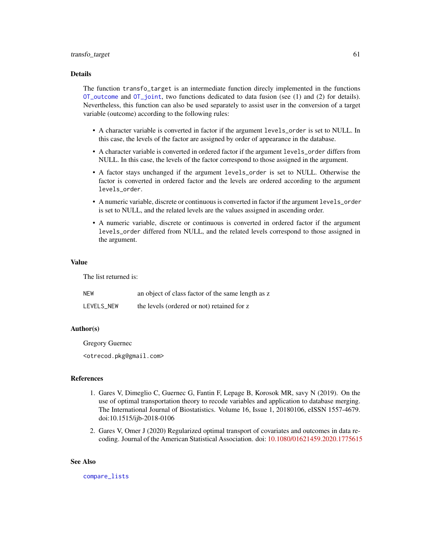#### <span id="page-60-0"></span>Details

The function transfo\_target is an intermediate function direcly implemented in the functions [OT\\_outcome](#page-32-1) and [OT\\_joint](#page-25-1), two functions dedicated to data fusion (see (1) and (2) for details). Nevertheless, this function can also be used separately to assist user in the conversion of a target variable (outcome) according to the following rules:

- A character variable is converted in factor if the argument levels\_order is set to NULL. In this case, the levels of the factor are assigned by order of appearance in the database.
- A character variable is converted in ordered factor if the argument levels\_order differs from NULL. In this case, the levels of the factor correspond to those assigned in the argument.
- A factor stays unchanged if the argument levels\_order is set to NULL. Otherwise the factor is converted in ordered factor and the levels are ordered according to the argument levels\_order.
- A numeric variable, discrete or continuous is converted in factor if the argument levels\_order is set to NULL, and the related levels are the values assigned in ascending order.
- A numeric variable, discrete or continuous is converted in ordered factor if the argument levels\_order differed from NULL, and the related levels correspond to those assigned in the argument.

#### Value

The list returned is:

| NEW        | an object of class factor of the same length as z |
|------------|---------------------------------------------------|
| LEVELS NEW | the levels (ordered or not) retained for z        |

#### Author(s)

Gregory Guernec

<otrecod.pkg@gmail.com>

#### References

- 1. Gares V, Dimeglio C, Guernec G, Fantin F, Lepage B, Korosok MR, savy N (2019). On the use of optimal transportation theory to recode variables and application to database merging. The International Journal of Biostatistics. Volume 16, Issue 1, 20180106, eISSN 1557-4679. doi:10.1515/ijb-2018-0106
- 2. Gares V, Omer J (2020) Regularized optimal transport of covariates and outcomes in data recoding. Journal of the American Statistical Association. doi: [10.1080/01621459.2020.1775615](https://doi.org/10.1080/01621459.2020.1775615)

#### See Also

[compare\\_lists](#page-6-1)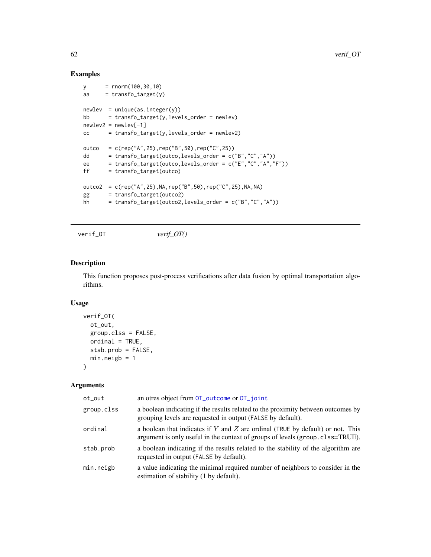# Examples

```
y = rnorm(100,30,10)
aa = transfo\_target(y)newlev = unique(as.integer(y))
bb = transfo_target(y,levels_order = newlev)
newlev2 = newlev[-1]
cc = transfo\_target(y, levels\_order = newlev2)outco = c(rep("A", 25), rep("B", 50), rep("C", 25))dd = transfo_target(outco,levels_order = c("B","C","A"))
ee = transfo_target(outco,levels_order = c("E","C","A","F"))
ff = transfo_target(outco)
outco2 = c(rep("A",25),NA,rep("B",50),rep("C",25),NA,NA)
gg = transfo_target(outco2)
hh = transfo_target(outco2,levels_order = c("B", "C", "A"))
```
<span id="page-61-1"></span>verif\_OT *verif\_OT()*

#### Description

This function proposes post-process verifications after data fusion by optimal transportation algorithms.

#### Usage

```
verif_OT(
 ot_out,
  group.clss = FALSE,
 ordial = TRUE,stab.prob = FALSE,
  min.neigb = 1)
```
#### Arguments

| ot_out     | an otres object from OT_outcome or OT_joint                                                                                                                     |
|------------|-----------------------------------------------------------------------------------------------------------------------------------------------------------------|
| group.clss | a boolean indicating if the results related to the proximity between outcomes by<br>grouping levels are requested in output (FALSE by default).                 |
| ordinal    | a boolean that indicates if Y and Z are ordinal (TRUE by default) or not. This<br>argument is only useful in the context of groups of levels (group.clss=TRUE). |
| stab.prob  | a boolean indicating if the results related to the stability of the algorithm are<br>requested in output (FALSE by default).                                    |
| min.neigb  | a value indicating the minimal required number of neighbors to consider in the<br>estimation of stability (1 by default).                                       |

<span id="page-61-0"></span>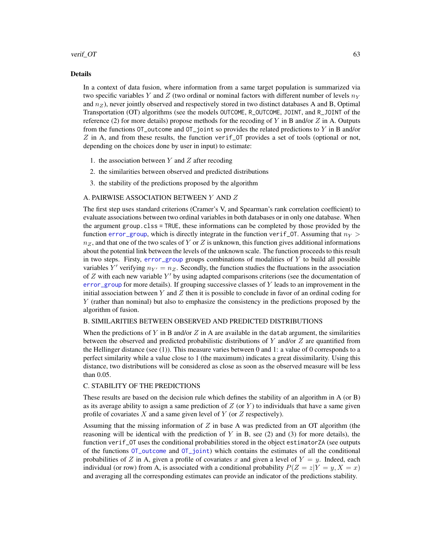#### <span id="page-62-0"></span>verif\_OT 63

#### Details

In a context of data fusion, where information from a same target population is summarized via two specific variables Y and Z (two ordinal or nominal factors with different number of levels  $n_Y$ and  $n_Z$ ), never jointly observed and respectively stored in two distinct databases A and B, Optimal Transportation (OT) algorithms (see the models OUTCOME, R\_OUTCOME, JOINT, and R\_JOINT of the reference (2) for more details) propose methods for the recoding of Y in B and/or Z in A. Outputs from the functions  $OT_$ outcome and  $OT_$  joint so provides the related predictions to Y in B and/or  $Z$  in A, and from these results, the function verif\_OT provides a set of tools (optional or not, depending on the choices done by user in input) to estimate:

- 1. the association between  $Y$  and  $Z$  after recoding
- 2. the similarities between observed and predicted distributions
- 3. the stability of the predictions proposed by the algorithm

# A. PAIRWISE ASSOCIATION BETWEEN Y AND Z

The first step uses standard criterions (Cramer's V, and Spearman's rank correlation coefficient) to evaluate associations between two ordinal variables in both databases or in only one database. When the argument group.clss = TRUE, these informations can be completed by those provided by the function [error\\_group](#page-7-1), which is directly integrate in the function verif\_0T. Assuming that  $n_Y$  >  $n_Z$ , and that one of the two scales of Y or Z is unknown, this function gives additional informations about the potential link between the levels of the unknown scale. The function proceeds to this result in two steps. Firsty,  $error\_group$  groups combinations of modalities of  $Y$  to build all possible variables Y' verifying  $n_{Y'} = n_Z$ . Secondly, the function studies the fluctuations in the association of  $Z$  with each new variable  $Y'$  by using adapted comparisons criterions (see the documentation of  $error_{\text{group}}$  for more details). If grouping successive classes of Y leads to an improvement in the initial association between Y and Z then it is possible to conclude in favor of an ordinal coding for Y (rather than nominal) but also to emphasize the consistency in the predictions proposed by the algorithm of fusion.

# B. SIMILARITIES BETWEEN OBSERVED AND PREDICTED DISTRIBUTIONS

When the predictions of Y in B and/or  $Z$  in A are available in the datab argument, the similarities between the observed and predicted probabilistic distributions of  $Y$  and/or  $Z$  are quantified from the Hellinger distance (see (1)). This measure varies between 0 and 1: a value of 0 corresponds to a perfect similarity while a value close to 1 (the maximum) indicates a great dissimilarity. Using this distance, two distributions will be considered as close as soon as the observed measure will be less than 0.05.

#### C. STABILITY OF THE PREDICTIONS

These results are based on the decision rule which defines the stability of an algorithm in A (or B) as its average ability to assign a same prediction of  $Z$  (or  $Y$ ) to individuals that have a same given profile of covariates  $X$  and a same given level of  $Y$  (or  $Z$  respectively).

Assuming that the missing information of  $Z$  in base A was predicted from an OT algorithm (the reasoning will be identical with the prediction of Y in B, see (2) and (3) for more details), the function verif\_OT uses the conditional probabilities stored in the object estimatorZA (see outputs of the functions [OT\\_outcome](#page-32-1) and [OT\\_joint](#page-25-1)) which contains the estimates of all the conditional probabilities of Z in A, given a profile of covariates x and given a level of  $Y = y$ . Indeed, each individual (or row) from A, is associated with a conditional probability  $P(Z = z|Y = y, X = x)$ and averaging all the corresponding estimates can provide an indicator of the predictions stability.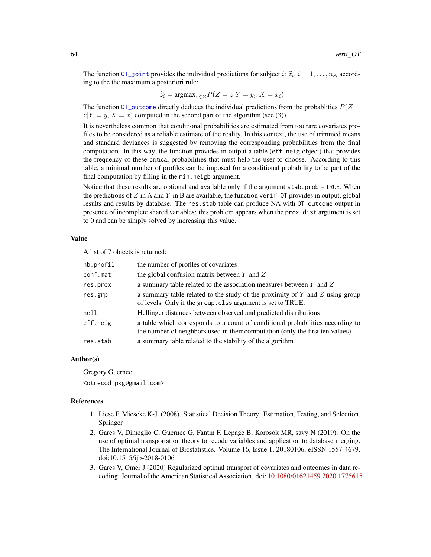The function  $\overline{OT}\_j$  oint provides the individual predictions for subject i:  $\hat{z}_i$ ,  $i = 1, \ldots, n_A$  according to the the maximum a posteriori rule:

$$
\widehat{z}_i = \operatorname{argmax}_{z \in \mathcal{Z}} P(Z = z | Y = y_i, X = x_i)
$$

The function  $\overline{OT}$  outcome directly deduces the individual predictions from the probabilities  $P(Z =$  $z|Y = y, X = x$  computed in the second part of the algorithm (see (3)).

It is nevertheless common that conditional probabilities are estimated from too rare covariates profiles to be considered as a reliable estimate of the reality. In this context, the use of trimmed means and standard deviances is suggested by removing the corresponding probabilities from the final computation. In this way, the function provides in output a table (eff.neig object) that provides the frequency of these critical probabilities that must help the user to choose. According to this table, a minimal number of profiles can be imposed for a conditional probability to be part of the final computation by filling in the min.neigb argument.

Notice that these results are optional and available only if the argument stab.prob = TRUE. When the predictions of  $Z$  in A and  $Y$  in B are available, the function verif\_0T provides in output, global results and results by database. The res.stab table can produce NA with OT\_outcome output in presence of incomplete shared variables: this problem appears when the prox.dist argument is set to 0 and can be simply solved by increasing this value.

#### Value

A list of 7 objects is returned:

| nb.profil | the number of profiles of covariates                                                                                                                            |
|-----------|-----------------------------------------------------------------------------------------------------------------------------------------------------------------|
| conf.mat  | the global confusion matrix between $Y$ and $Z$                                                                                                                 |
| res.prox  | a summary table related to the association measures between $Y$ and $Z$                                                                                         |
| res.grp   | a summary table related to the study of the proximity of $Y$ and $Z$ using group<br>of levels. Only if the group. clss argument is set to TRUE.                 |
| hell      | Hellinger distances between observed and predicted distributions                                                                                                |
| eff.neig  | a table which corresponds to a count of conditional probabilities according to<br>the number of neighbors used in their computation (only the first ten values) |
| res.stab  | a summary table related to the stability of the algorithm                                                                                                       |

#### Author(s)

Gregory Guernec <otrecod.pkg@gmail.com>

#### References

- 1. Liese F, Miescke K-J. (2008). Statistical Decision Theory: Estimation, Testing, and Selection. Springer
- 2. Gares V, Dimeglio C, Guernec G, Fantin F, Lepage B, Korosok MR, savy N (2019). On the use of optimal transportation theory to recode variables and application to database merging. The International Journal of Biostatistics. Volume 16, Issue 1, 20180106, eISSN 1557-4679. doi:10.1515/ijb-2018-0106
- 3. Gares V, Omer J (2020) Regularized optimal transport of covariates and outcomes in data recoding. Journal of the American Statistical Association. doi: [10.1080/01621459.2020.1775615](https://doi.org/10.1080/01621459.2020.1775615)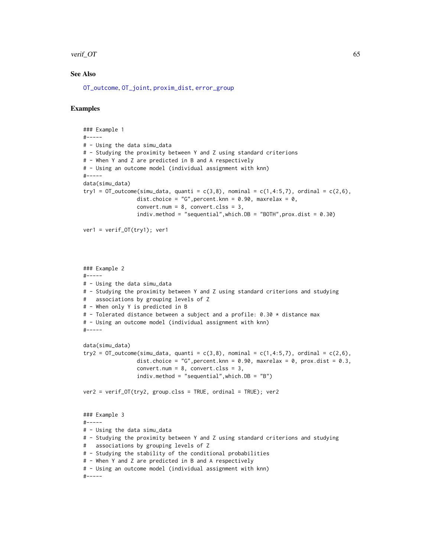#### <span id="page-64-0"></span>verif\_OT 65

# See Also

[OT\\_outcome](#page-32-1), [OT\\_joint](#page-25-1), [proxim\\_dist](#page-40-1), [error\\_group](#page-7-1)

# Examples

```
### Example 1
#-----
# - Using the data simu_data
# - Studying the proximity between Y and Z using standard criterions
# - When Y and Z are predicted in B and A respectively
# - Using an outcome model (individual assignment with knn)
#-----
data(simu_data)
try1 = OT_outcome(simu_data, quanti = c(3,8), nominal = c(1,4:5,7), ordinal = c(2,6),dist.choice = "G", percent.knn = 0.90, maxrelax = 0,
                 convert.num = 8, convert.class = 3,
                 indiv.method = "sequential", which.DB = "BOTH", prox.dist = 0.30)
ver1 = verif_OT(try1); ver1
### Example 2
#-----
# - Using the data simu_data
# - Studying the proximity between Y and Z using standard criterions and studying
# associations by grouping levels of Z
# - When only Y is predicted in B
# - Tolerated distance between a subject and a profile: 0.30 * distance max
# - Using an outcome model (individual assignment with knn)
#-----
data(simu_data)
try2 = OT_outcome(simu_data, quanti = c(3,8), nominal = c(1,4:5,7), ordinal = c(2,6),dist.choice = "G", percent.knn = 0.90, maxrelax = 0, prox.dist = 0.3,
                 convert.num = 8, convert.cls = 3,
                 indiv.method = "sequential",which.DB = "B")
ver2 = verif_OT(try2, group.clss = TRUE, ordinal = TRUE); ver2
### Example 3
#-----
# - Using the data simu_data
# - Studying the proximity between Y and Z using standard criterions and studying
# associations by grouping levels of Z
# - Studying the stability of the conditional probabilities
# - When Y and Z are predicted in B and A respectively
# - Using an outcome model (individual assignment with knn)
#-----
```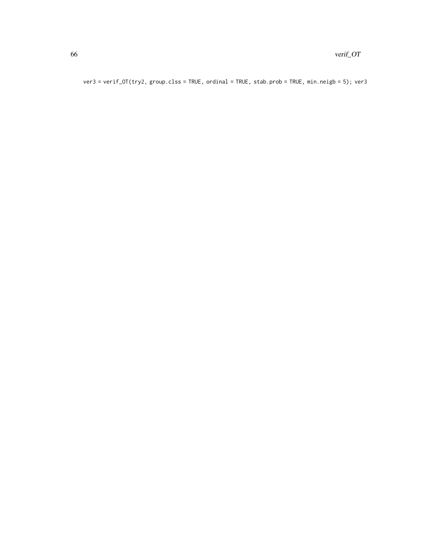ver3 = verif\_OT(try2, group.clss = TRUE, ordinal = TRUE, stab.prob = TRUE, min.neigb = 5); ver3